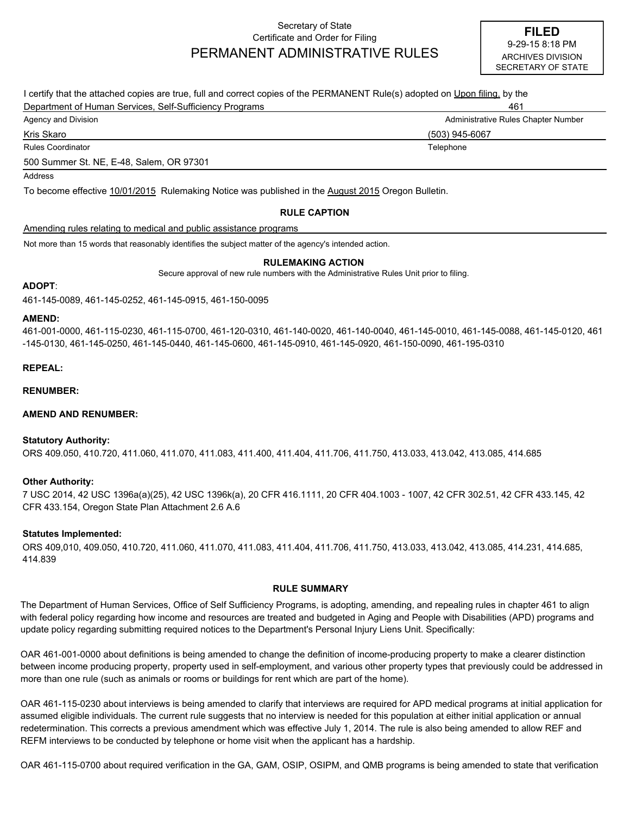## Secretary of State Certificate and Order for Filing PERMANENT ADMINISTRATIVE RULES

| I certify that the attached copies are true, full and correct copies of the PERMANENT Rule(s) adopted on Upon filing, by the |                                     |  |
|------------------------------------------------------------------------------------------------------------------------------|-------------------------------------|--|
| Department of Human Services, Self-Sufficiency Programs                                                                      | 461                                 |  |
| Agency and Division                                                                                                          | Administrative Rules Chapter Number |  |
| Kris Skaro                                                                                                                   | (503) 945-6067                      |  |
| Rules Coordinator                                                                                                            | Telephone                           |  |
| 500 Summer St. NE, E-48, Salem, OR 97301                                                                                     |                                     |  |
| Address                                                                                                                      |                                     |  |
| To become effective 10/01/2015 Rulemaking Notice was published in the August 2015 Oregon Bulletin.                           |                                     |  |

## **RULE CAPTION**

## Amending rules relating to medical and public assistance programs

Not more than 15 words that reasonably identifies the subject matter of the agency's intended action.

#### **RULEMAKING ACTION**

Secure approval of new rule numbers with the Administrative Rules Unit prior to filing.

### **ADOPT**:

461-145-0089, 461-145-0252, 461-145-0915, 461-150-0095

#### **AMEND:**

461-001-0000, 461-115-0230, 461-115-0700, 461-120-0310, 461-140-0020, 461-140-0040, 461-145-0010, 461-145-0088, 461-145-0120, 461 -145-0130, 461-145-0250, 461-145-0440, 461-145-0600, 461-145-0910, 461-145-0920, 461-150-0090, 461-195-0310

### **REPEAL:**

**RENUMBER:**

## **AMEND AND RENUMBER:**

#### **Statutory Authority:**

ORS 409.050, 410.720, 411.060, 411.070, 411.083, 411.400, 411.404, 411.706, 411.750, 413.033, 413.042, 413.085, 414.685

## **Other Authority:**

7 USC 2014, 42 USC 1396a(a)(25), 42 USC 1396k(a), 20 CFR 416.1111, 20 CFR 404.1003 - 1007, 42 CFR 302.51, 42 CFR 433.145, 42 CFR 433.154, Oregon State Plan Attachment 2.6 A.6

#### **Statutes Implemented:**

ORS 409,010, 409.050, 410.720, 411.060, 411.070, 411.083, 411.404, 411.706, 411.750, 413.033, 413.042, 413.085, 414.231, 414.685, 414.839

### **RULE SUMMARY**

The Department of Human Services, Office of Self Sufficiency Programs, is adopting, amending, and repealing rules in chapter 461 to align with federal policy regarding how income and resources are treated and budgeted in Aging and People with Disabilities (APD) programs and update policy regarding submitting required notices to the Department's Personal Injury Liens Unit. Specifically:

OAR 461-001-0000 about definitions is being amended to change the definition of income-producing property to make a clearer distinction between income producing property, property used in self-employment, and various other property types that previously could be addressed in more than one rule (such as animals or rooms or buildings for rent which are part of the home).

OAR 461-115-0230 about interviews is being amended to clarify that interviews are required for APD medical programs at initial application for assumed eligible individuals. The current rule suggests that no interview is needed for this population at either initial application or annual redetermination. This corrects a previous amendment which was effective July 1, 2014. The rule is also being amended to allow REF and REFM interviews to be conducted by telephone or home visit when the applicant has a hardship.

OAR 461-115-0700 about required verification in the GA, GAM, OSIP, OSIPM, and QMB programs is being amended to state that verification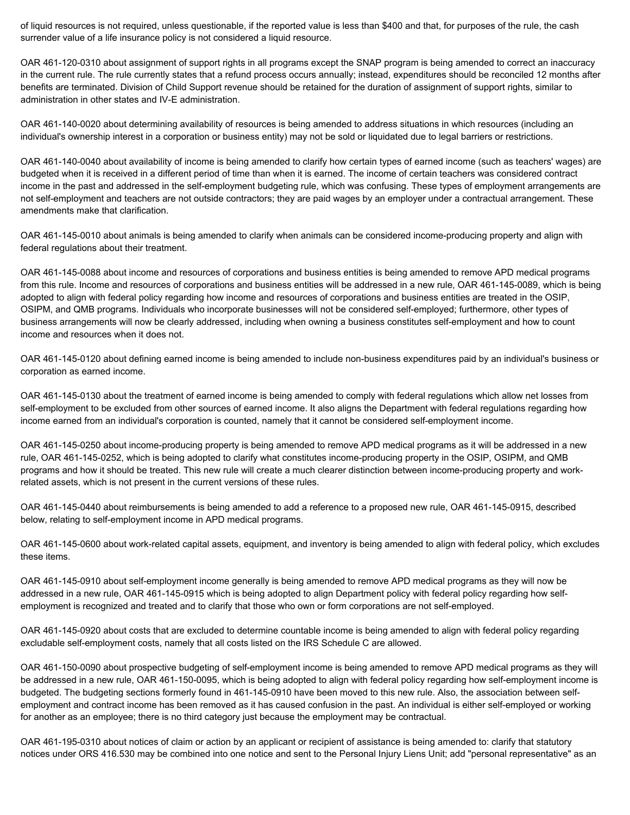of liquid resources is not required, unless questionable, if the reported value is less than \$400 and that, for purposes of the rule, the cash surrender value of a life insurance policy is not considered a liquid resource.

OAR 461-120-0310 about assignment of support rights in all programs except the SNAP program is being amended to correct an inaccuracy in the current rule. The rule currently states that a refund process occurs annually; instead, expenditures should be reconciled 12 months after benefits are terminated. Division of Child Support revenue should be retained for the duration of assignment of support rights, similar to administration in other states and IV-E administration.

OAR 461-140-0020 about determining availability of resources is being amended to address situations in which resources (including an individual's ownership interest in a corporation or business entity) may not be sold or liquidated due to legal barriers or restrictions.

OAR 461-140-0040 about availability of income is being amended to clarify how certain types of earned income (such as teachers' wages) are budgeted when it is received in a different period of time than when it is earned. The income of certain teachers was considered contract income in the past and addressed in the self-employment budgeting rule, which was confusing. These types of employment arrangements are not self-employment and teachers are not outside contractors; they are paid wages by an employer under a contractual arrangement. These amendments make that clarification.

OAR 461-145-0010 about animals is being amended to clarify when animals can be considered income-producing property and align with federal regulations about their treatment.

OAR 461-145-0088 about income and resources of corporations and business entities is being amended to remove APD medical programs from this rule. Income and resources of corporations and business entities will be addressed in a new rule, OAR 461-145-0089, which is being adopted to align with federal policy regarding how income and resources of corporations and business entities are treated in the OSIP, OSIPM, and QMB programs. Individuals who incorporate businesses will not be considered self-employed; furthermore, other types of business arrangements will now be clearly addressed, including when owning a business constitutes self-employment and how to count income and resources when it does not.

OAR 461-145-0120 about defining earned income is being amended to include non-business expenditures paid by an individual's business or corporation as earned income.

OAR 461-145-0130 about the treatment of earned income is being amended to comply with federal regulations which allow net losses from self-employment to be excluded from other sources of earned income. It also aligns the Department with federal regulations regarding how income earned from an individual's corporation is counted, namely that it cannot be considered self-employment income.

OAR 461-145-0250 about income-producing property is being amended to remove APD medical programs as it will be addressed in a new rule, OAR 461-145-0252, which is being adopted to clarify what constitutes income-producing property in the OSIP, OSIPM, and QMB programs and how it should be treated. This new rule will create a much clearer distinction between income-producing property and workrelated assets, which is not present in the current versions of these rules.

OAR 461-145-0440 about reimbursements is being amended to add a reference to a proposed new rule, OAR 461-145-0915, described below, relating to self-employment income in APD medical programs.

OAR 461-145-0600 about work-related capital assets, equipment, and inventory is being amended to align with federal policy, which excludes these items.

OAR 461-145-0910 about self-employment income generally is being amended to remove APD medical programs as they will now be addressed in a new rule, OAR 461-145-0915 which is being adopted to align Department policy with federal policy regarding how selfemployment is recognized and treated and to clarify that those who own or form corporations are not self-employed.

OAR 461-145-0920 about costs that are excluded to determine countable income is being amended to align with federal policy regarding excludable self-employment costs, namely that all costs listed on the IRS Schedule C are allowed.

OAR 461-150-0090 about prospective budgeting of self-employment income is being amended to remove APD medical programs as they will be addressed in a new rule, OAR 461-150-0095, which is being adopted to align with federal policy regarding how self-employment income is budgeted. The budgeting sections formerly found in 461-145-0910 have been moved to this new rule. Also, the association between selfemployment and contract income has been removed as it has caused confusion in the past. An individual is either self-employed or working for another as an employee; there is no third category just because the employment may be contractual.

OAR 461-195-0310 about notices of claim or action by an applicant or recipient of assistance is being amended to: clarify that statutory notices under ORS 416.530 may be combined into one notice and sent to the Personal Injury Liens Unit; add "personal representative" as an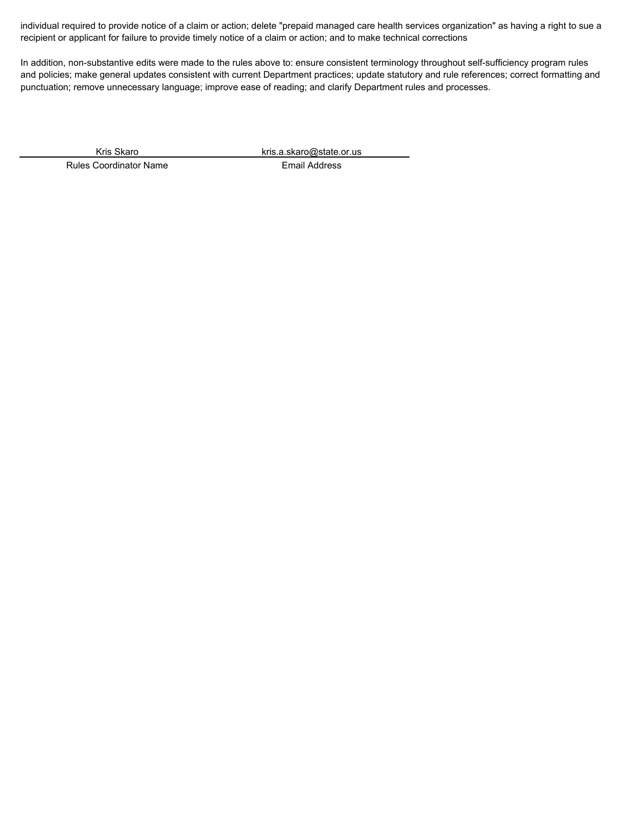individual required to provide notice of a claim or action; delete "prepaid managed care health services organization" as having a right to sue a recipient or applicant for failure to provide timely notice of a claim or action; and to make technical corrections

In addition, non-substantive edits were made to the rules above to: ensure consistent terminology throughout self-sufficiency program rules and policies; make general updates consistent with current Department practices; update statutory and rule references; correct formatting and punctuation; remove unnecessary language; improve ease of reading; and clarify Department rules and processes.

Rules Coordinator Name **Email Address** 

Kris Skaro kris.a.skaro@state.or.us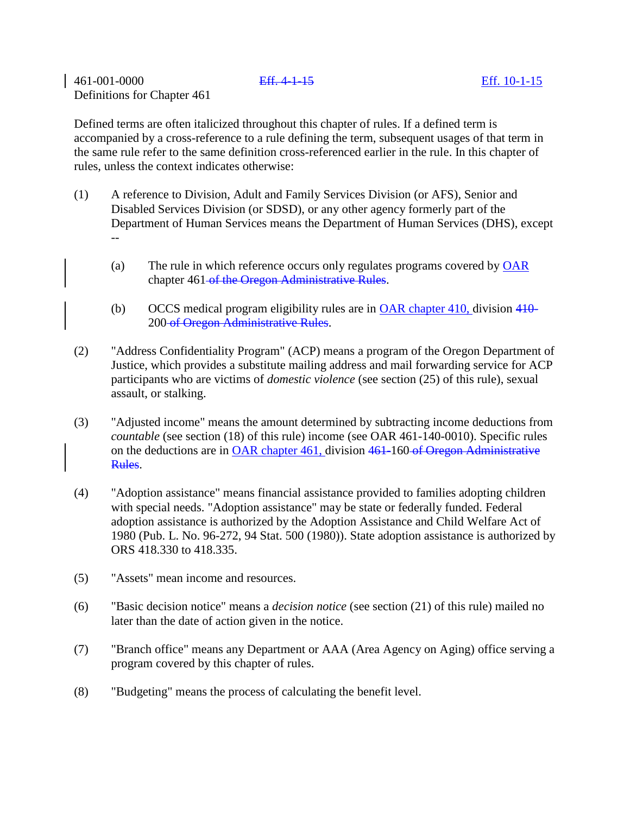461-001-0000 Eff. 4-1-15 Eff. 10-1-15 Definitions for Chapter 461

Defined terms are often italicized throughout this chapter of rules. If a defined term is accompanied by a cross-reference to a rule defining the term, subsequent usages of that term in the same rule refer to the same definition cross-referenced earlier in the rule. In this chapter of rules, unless the context indicates otherwise:

- (1) A reference to Division, Adult and Family Services Division (or AFS), Senior and Disabled Services Division (or SDSD), or any other agency formerly part of the Department of Human Services means the Department of Human Services (DHS), except --
	- (a) The rule in which reference occurs only regulates programs covered by  $\overline{OAR}$ chapter 461-of the Oregon Administrative Rules.
	- (b) OCCS medical program eligibility rules are in OAR chapter 410, division 410- 200 of Oregon Administrative Rules.
- (2) "Address Confidentiality Program" (ACP) means a program of the Oregon Department of Justice, which provides a substitute mailing address and mail forwarding service for ACP participants who are victims of *domestic violence* (see section (25) of this rule), sexual assault, or stalking.
- (3) "Adjusted income" means the amount determined by subtracting income deductions from *countable* (see section (18) of this rule) income (see OAR 461-140-0010). Specific rules on the deductions are in OAR chapter 461, division 461-160 of Oregon Administrative Rules.
- (4) "Adoption assistance" means financial assistance provided to families adopting children with special needs. "Adoption assistance" may be state or federally funded. Federal adoption assistance is authorized by the Adoption Assistance and Child Welfare Act of 1980 (Pub. L. No. 96-272, 94 Stat. 500 (1980)). State adoption assistance is authorized by ORS 418.330 to 418.335.
- (5) "Assets" mean income and resources.
- (6) "Basic decision notice" means a *decision notice* (see section (21) of this rule) mailed no later than the date of action given in the notice.
- (7) "Branch office" means any Department or AAA (Area Agency on Aging) office serving a program covered by this chapter of rules.
- (8) "Budgeting" means the process of calculating the benefit level.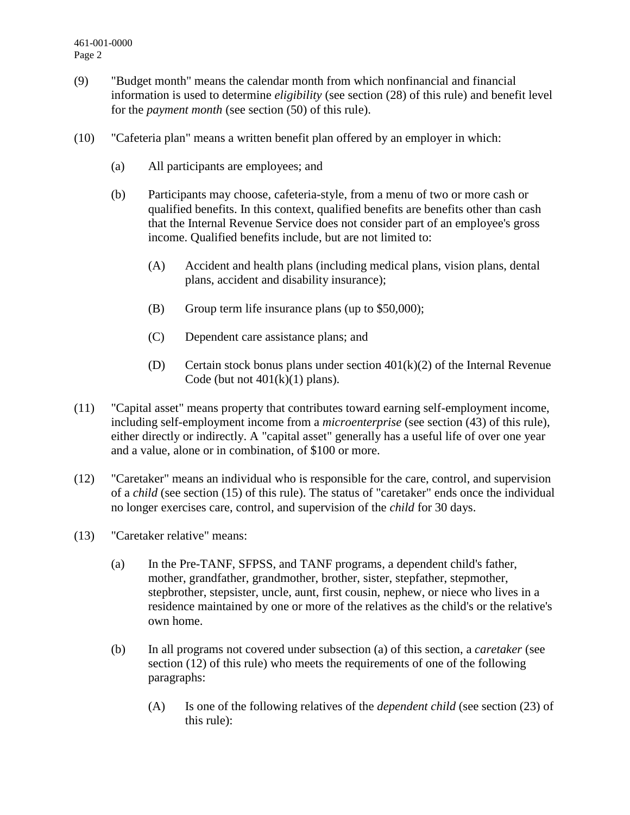- (9) "Budget month" means the calendar month from which nonfinancial and financial information is used to determine *eligibility* (see section (28) of this rule) and benefit level for the *payment month* (see section (50) of this rule).
- (10) "Cafeteria plan" means a written benefit plan offered by an employer in which:
	- (a) All participants are employees; and
	- (b) Participants may choose, cafeteria-style, from a menu of two or more cash or qualified benefits. In this context, qualified benefits are benefits other than cash that the Internal Revenue Service does not consider part of an employee's gross income. Qualified benefits include, but are not limited to:
		- (A) Accident and health plans (including medical plans, vision plans, dental plans, accident and disability insurance);
		- (B) Group term life insurance plans (up to \$50,000);
		- (C) Dependent care assistance plans; and
		- (D) Certain stock bonus plans under section  $401(k)(2)$  of the Internal Revenue Code (but not  $401(k)(1)$  plans).
- (11) "Capital asset" means property that contributes toward earning self-employment income, including self-employment income from a *microenterprise* (see section (43) of this rule), either directly or indirectly. A "capital asset" generally has a useful life of over one year and a value, alone or in combination, of \$100 or more.
- (12) "Caretaker" means an individual who is responsible for the care, control, and supervision of a *child* (see section (15) of this rule). The status of "caretaker" ends once the individual no longer exercises care, control, and supervision of the *child* for 30 days.
- (13) "Caretaker relative" means:
	- (a) In the Pre-TANF, SFPSS, and TANF programs, a dependent child's father, mother, grandfather, grandmother, brother, sister, stepfather, stepmother, stepbrother, stepsister, uncle, aunt, first cousin, nephew, or niece who lives in a residence maintained by one or more of the relatives as the child's or the relative's own home.
	- (b) In all programs not covered under subsection (a) of this section, a *caretaker* (see section (12) of this rule) who meets the requirements of one of the following paragraphs:
		- (A) Is one of the following relatives of the *dependent child* (see section (23) of this rule):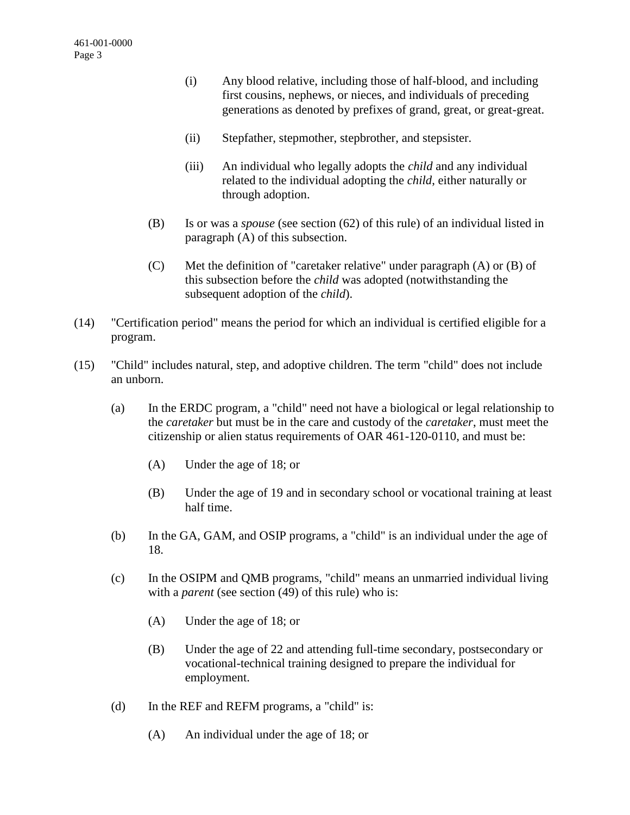- (i) Any blood relative, including those of half-blood, and including first cousins, nephews, or nieces, and individuals of preceding generations as denoted by prefixes of grand, great, or great-great.
- (ii) Stepfather, stepmother, stepbrother, and stepsister.
- (iii) An individual who legally adopts the *child* and any individual related to the individual adopting the *child*, either naturally or through adoption.
- (B) Is or was a *spouse* (see section (62) of this rule) of an individual listed in paragraph (A) of this subsection.
- (C) Met the definition of "caretaker relative" under paragraph (A) or (B) of this subsection before the *child* was adopted (notwithstanding the subsequent adoption of the *child*).
- (14) "Certification period" means the period for which an individual is certified eligible for a program.
- (15) "Child" includes natural, step, and adoptive children. The term "child" does not include an unborn.
	- (a) In the ERDC program, a "child" need not have a biological or legal relationship to the *caretaker* but must be in the care and custody of the *caretaker*, must meet the citizenship or alien status requirements of OAR 461-120-0110, and must be:
		- (A) Under the age of 18; or
		- (B) Under the age of 19 and in secondary school or vocational training at least half time.
	- (b) In the GA, GAM, and OSIP programs, a "child" is an individual under the age of 18.
	- (c) In the OSIPM and QMB programs, "child" means an unmarried individual living with a *parent* (see section (49) of this rule) who is:
		- (A) Under the age of 18; or
		- (B) Under the age of 22 and attending full-time secondary, postsecondary or vocational-technical training designed to prepare the individual for employment.
	- (d) In the REF and REFM programs, a "child" is:
		- (A) An individual under the age of 18; or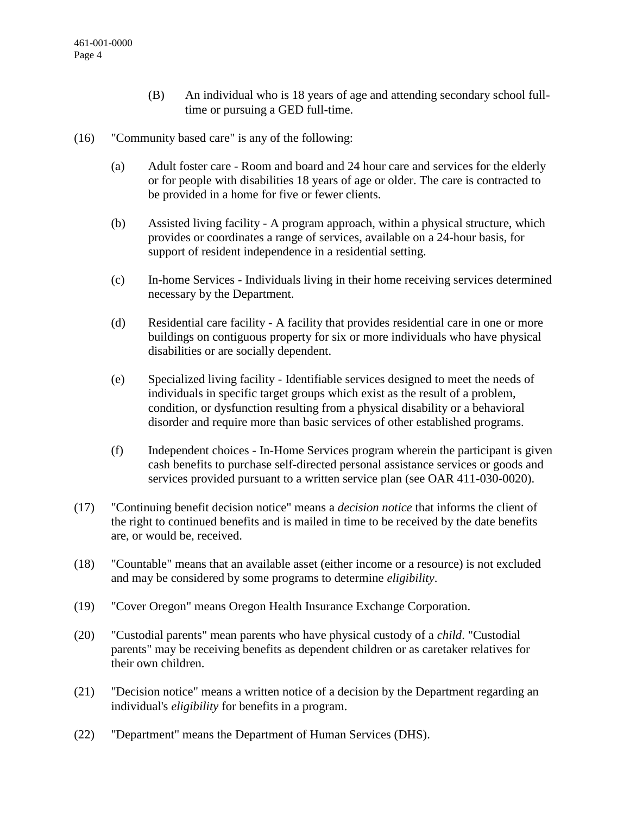- (B) An individual who is 18 years of age and attending secondary school fulltime or pursuing a GED full-time.
- (16) "Community based care" is any of the following:
	- (a) Adult foster care Room and board and 24 hour care and services for the elderly or for people with disabilities 18 years of age or older. The care is contracted to be provided in a home for five or fewer clients.
	- (b) Assisted living facility A program approach, within a physical structure, which provides or coordinates a range of services, available on a 24-hour basis, for support of resident independence in a residential setting.
	- (c) In-home Services Individuals living in their home receiving services determined necessary by the Department.
	- (d) Residential care facility A facility that provides residential care in one or more buildings on contiguous property for six or more individuals who have physical disabilities or are socially dependent.
	- (e) Specialized living facility Identifiable services designed to meet the needs of individuals in specific target groups which exist as the result of a problem, condition, or dysfunction resulting from a physical disability or a behavioral disorder and require more than basic services of other established programs.
	- (f) Independent choices In-Home Services program wherein the participant is given cash benefits to purchase self-directed personal assistance services or goods and services provided pursuant to a written service plan (see OAR 411-030-0020).
- (17) "Continuing benefit decision notice" means a *decision notice* that informs the client of the right to continued benefits and is mailed in time to be received by the date benefits are, or would be, received.
- (18) "Countable" means that an available asset (either income or a resource) is not excluded and may be considered by some programs to determine *eligibility*.
- (19) "Cover Oregon" means Oregon Health Insurance Exchange Corporation.
- (20) "Custodial parents" mean parents who have physical custody of a *child*. "Custodial parents" may be receiving benefits as dependent children or as caretaker relatives for their own children.
- (21) "Decision notice" means a written notice of a decision by the Department regarding an individual's *eligibility* for benefits in a program.
- (22) "Department" means the Department of Human Services (DHS).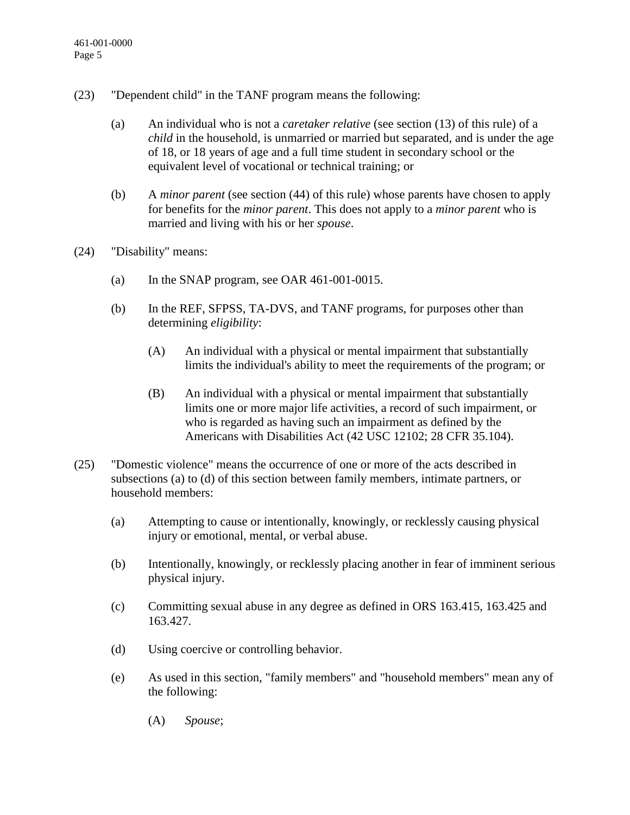- (23) "Dependent child" in the TANF program means the following:
	- (a) An individual who is not a *caretaker relative* (see section (13) of this rule) of a *child* in the household, is unmarried or married but separated, and is under the age of 18, or 18 years of age and a full time student in secondary school or the equivalent level of vocational or technical training; or
	- (b) A *minor parent* (see section (44) of this rule) whose parents have chosen to apply for benefits for the *minor parent*. This does not apply to a *minor parent* who is married and living with his or her *spouse*.
- (24) "Disability" means:
	- (a) In the SNAP program, see OAR  $461-001-0015$ .
	- (b) In the REF, SFPSS, TA-DVS, and TANF programs, for purposes other than determining *eligibility*:
		- (A) An individual with a physical or mental impairment that substantially limits the individual's ability to meet the requirements of the program; or
		- (B) An individual with a physical or mental impairment that substantially limits one or more major life activities, a record of such impairment, or who is regarded as having such an impairment as defined by the Americans with Disabilities Act (42 USC 12102; 28 CFR 35.104).
- (25) "Domestic violence" means the occurrence of one or more of the acts described in subsections (a) to (d) of this section between family members, intimate partners, or household members:
	- (a) Attempting to cause or intentionally, knowingly, or recklessly causing physical injury or emotional, mental, or verbal abuse.
	- (b) Intentionally, knowingly, or recklessly placing another in fear of imminent serious physical injury.
	- (c) Committing sexual abuse in any degree as defined in ORS 163.415, 163.425 and 163.427.
	- (d) Using coercive or controlling behavior.
	- (e) As used in this section, "family members" and "household members" mean any of the following:
		- (A) *Spouse*;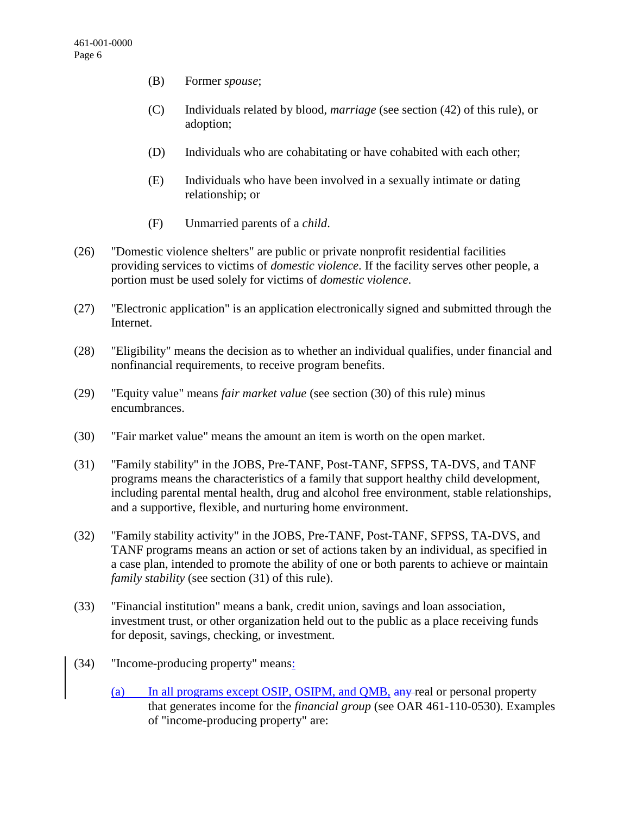- (B) Former *spouse*;
- (C) Individuals related by blood, *marriage* (see section (42) of this rule), or adoption;
- (D) Individuals who are cohabitating or have cohabited with each other;
- (E) Individuals who have been involved in a sexually intimate or dating relationship; or
- (F) Unmarried parents of a *child*.
- (26) "Domestic violence shelters" are public or private nonprofit residential facilities providing services to victims of *domestic violence*. If the facility serves other people, a portion must be used solely for victims of *domestic violence*.
- (27) "Electronic application" is an application electronically signed and submitted through the Internet.
- (28) "Eligibility" means the decision as to whether an individual qualifies, under financial and nonfinancial requirements, to receive program benefits.
- (29) "Equity value" means *fair market value* (see section (30) of this rule) minus encumbrances.
- (30) "Fair market value" means the amount an item is worth on the open market.
- (31) "Family stability" in the JOBS, Pre-TANF, Post-TANF, SFPSS, TA-DVS, and TANF programs means the characteristics of a family that support healthy child development, including parental mental health, drug and alcohol free environment, stable relationships, and a supportive, flexible, and nurturing home environment.
- (32) "Family stability activity" in the JOBS, Pre-TANF, Post-TANF, SFPSS, TA-DVS, and TANF programs means an action or set of actions taken by an individual, as specified in a case plan, intended to promote the ability of one or both parents to achieve or maintain *family stability* (see section (31) of this rule).
- (33) "Financial institution" means a bank, credit union, savings and loan association, investment trust, or other organization held out to the public as a place receiving funds for deposit, savings, checking, or investment.
- (34) "Income-producing property" means:
	- (a) In all programs except OSIP, OSIPM, and QMB, any real or personal property that generates income for the *financial group* (see OAR 461-110-0530). Examples of "income-producing property" are: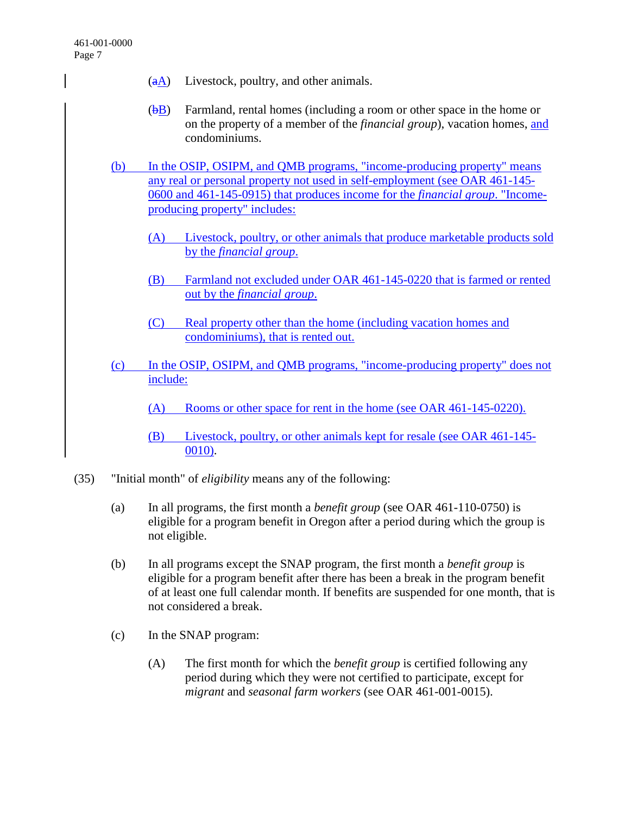- $(aA)$  Livestock, poultry, and other animals.
- $(b)$  Farmland, rental homes (including a room or other space in the home or on the property of a member of the *financial group*), vacation homes, and condominiums.
- (b) In the OSIP, OSIPM, and QMB programs, "income-producing property" means any real or personal property not used in self-employment (see OAR 461-145- 0600 and 461-145-0915) that produces income for the *financial group*. "Incomeproducing property" includes:
	- (A) Livestock, poultry, or other animals that produce marketable products sold by the *financial group*.
	- (B) Farmland not excluded under OAR 461-145-0220 that is farmed or rented out by the *financial group*.
	- (C) Real property other than the home (including vacation homes and condominiums), that is rented out.
- (c) In the OSIP, OSIPM, and QMB programs, "income-producing property" does not include:
	- (A) Rooms or other space for rent in the home (see OAR 461-145-0220).
	- (B) Livestock, poultry, or other animals kept for resale (see OAR 461-145- 0010).
- (35) "Initial month" of *eligibility* means any of the following:
	- (a) In all programs, the first month a *benefit group* (see OAR 461-110-0750) is eligible for a program benefit in Oregon after a period during which the group is not eligible.
	- (b) In all programs except the SNAP program, the first month a *benefit group* is eligible for a program benefit after there has been a break in the program benefit of at least one full calendar month. If benefits are suspended for one month, that is not considered a break.
	- (c) In the SNAP program:
		- (A) The first month for which the *benefit group* is certified following any period during which they were not certified to participate, except for *migrant* and *seasonal farm workers* (see OAR 461-001-0015).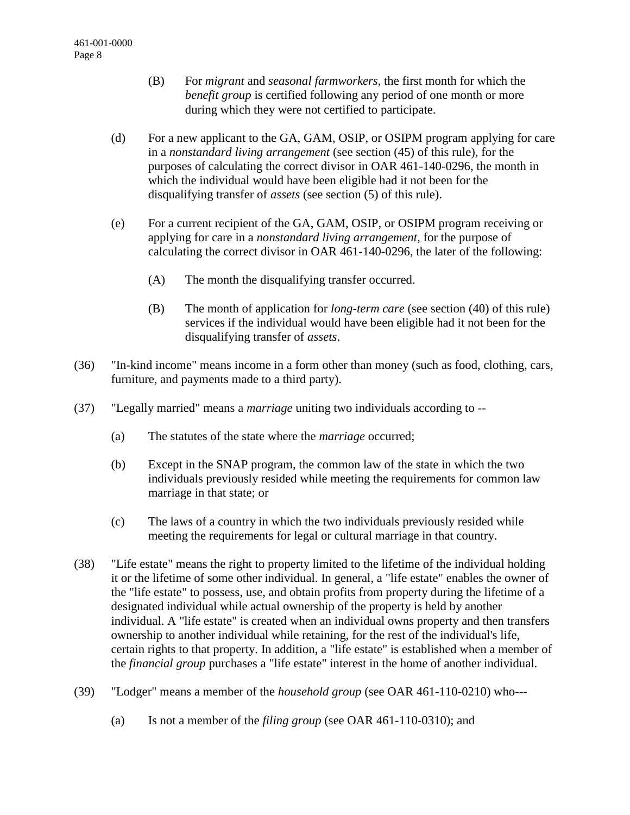- (B) For *migrant* and *seasonal farmworkers*, the first month for which the *benefit group* is certified following any period of one month or more during which they were not certified to participate.
- (d) For a new applicant to the GA, GAM, OSIP, or OSIPM program applying for care in a *nonstandard living arrangement* (see section (45) of this rule), for the purposes of calculating the correct divisor in OAR 461-140-0296, the month in which the individual would have been eligible had it not been for the disqualifying transfer of *assets* (see section (5) of this rule).
- (e) For a current recipient of the GA, GAM, OSIP, or OSIPM program receiving or applying for care in a *nonstandard living arrangement*, for the purpose of calculating the correct divisor in OAR 461-140-0296, the later of the following:
	- (A) The month the disqualifying transfer occurred.
	- (B) The month of application for *long-term care* (see section (40) of this rule) services if the individual would have been eligible had it not been for the disqualifying transfer of *assets*.
- (36) "In-kind income" means income in a form other than money (such as food, clothing, cars, furniture, and payments made to a third party).
- (37) "Legally married" means a *marriage* uniting two individuals according to --
	- (a) The statutes of the state where the *marriage* occurred;
	- (b) Except in the SNAP program, the common law of the state in which the two individuals previously resided while meeting the requirements for common law marriage in that state; or
	- (c) The laws of a country in which the two individuals previously resided while meeting the requirements for legal or cultural marriage in that country.
- (38) "Life estate" means the right to property limited to the lifetime of the individual holding it or the lifetime of some other individual. In general, a "life estate" enables the owner of the "life estate" to possess, use, and obtain profits from property during the lifetime of a designated individual while actual ownership of the property is held by another individual. A "life estate" is created when an individual owns property and then transfers ownership to another individual while retaining, for the rest of the individual's life, certain rights to that property. In addition, a "life estate" is established when a member of the *financial group* purchases a "life estate" interest in the home of another individual.
- (39) "Lodger" means a member of the *household group* (see OAR 461-110-0210) who---
	- (a) Is not a member of the *filing group* (see OAR 461-110-0310); and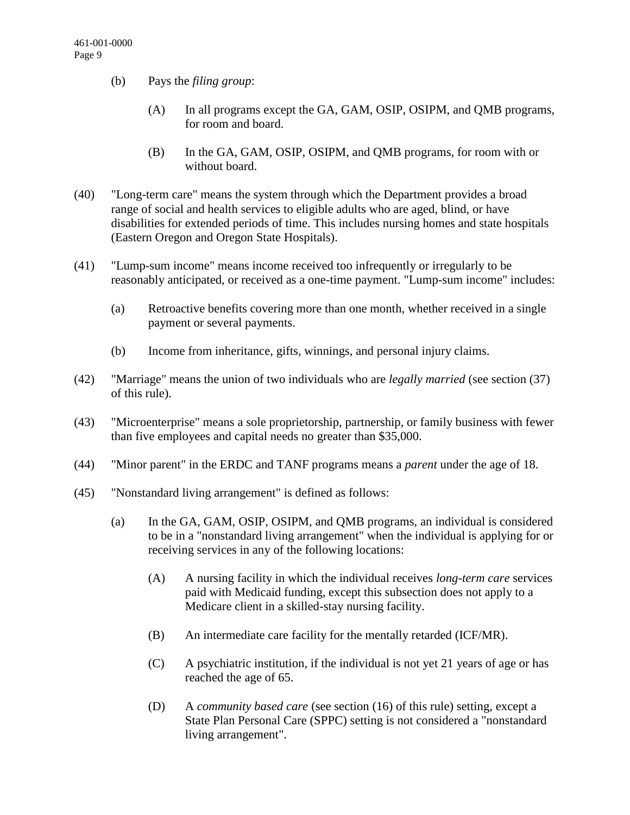- (b) Pays the *filing group*:
	- (A) In all programs except the GA, GAM, OSIP, OSIPM, and QMB programs, for room and board.
	- (B) In the GA, GAM, OSIP, OSIPM, and QMB programs, for room with or without board.
- (40) "Long-term care" means the system through which the Department provides a broad range of social and health services to eligible adults who are aged, blind, or have disabilities for extended periods of time. This includes nursing homes and state hospitals (Eastern Oregon and Oregon State Hospitals).
- (41) "Lump-sum income" means income received too infrequently or irregularly to be reasonably anticipated, or received as a one-time payment. "Lump-sum income" includes:
	- (a) Retroactive benefits covering more than one month, whether received in a single payment or several payments.
	- (b) Income from inheritance, gifts, winnings, and personal injury claims.
- (42) "Marriage" means the union of two individuals who are *legally married* (see section (37) of this rule).
- (43) "Microenterprise" means a sole proprietorship, partnership, or family business with fewer than five employees and capital needs no greater than \$35,000.
- (44) "Minor parent" in the ERDC and TANF programs means a *parent* under the age of 18.
- (45) "Nonstandard living arrangement" is defined as follows:
	- (a) In the GA, GAM, OSIP, OSIPM, and QMB programs, an individual is considered to be in a "nonstandard living arrangement" when the individual is applying for or receiving services in any of the following locations:
		- (A) A nursing facility in which the individual receives *long-term care* services paid with Medicaid funding, except this subsection does not apply to a Medicare client in a skilled-stay nursing facility.
		- (B) An intermediate care facility for the mentally retarded (ICF/MR).
		- (C) A psychiatric institution, if the individual is not yet 21 years of age or has reached the age of 65.
		- (D) A *community based care* (see section (16) of this rule) setting, except a State Plan Personal Care (SPPC) setting is not considered a "nonstandard living arrangement".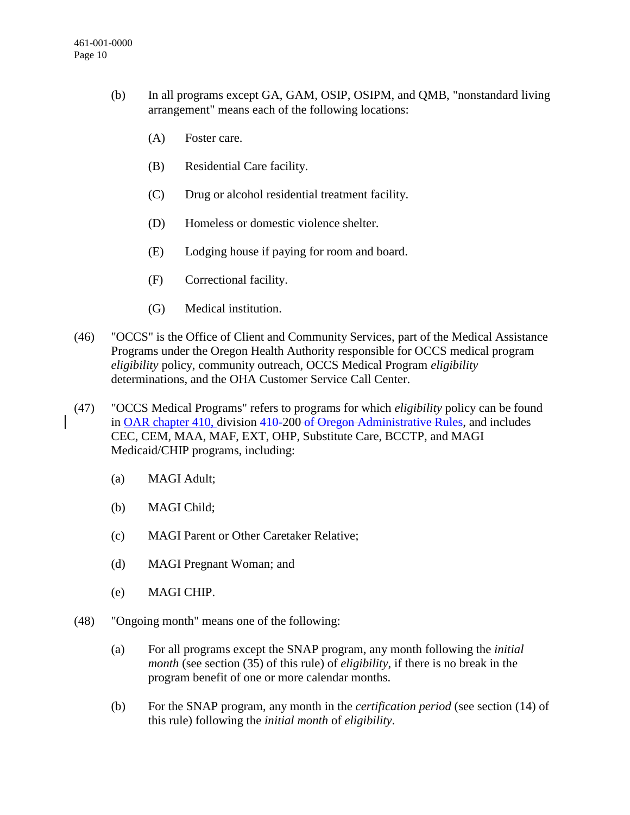- (b) In all programs except GA, GAM, OSIP, OSIPM, and QMB, "nonstandard living arrangement" means each of the following locations:
	- (A) Foster care.
	- (B) Residential Care facility.
	- (C) Drug or alcohol residential treatment facility.
	- (D) Homeless or domestic violence shelter.
	- (E) Lodging house if paying for room and board.
	- (F) Correctional facility.
	- (G) Medical institution.
- (46) "OCCS" is the Office of Client and Community Services, part of the Medical Assistance Programs under the Oregon Health Authority responsible for OCCS medical program *eligibility* policy, community outreach, OCCS Medical Program *eligibility* determinations, and the OHA Customer Service Call Center.
- (47) "OCCS Medical Programs" refers to programs for which *eligibility* policy can be found in OAR chapter 410, division 410-200 of Oregon Administrative Rules, and includes CEC, CEM, MAA, MAF, EXT, OHP, Substitute Care, BCCTP, and MAGI Medicaid/CHIP programs, including:
	- (a) MAGI Adult;
	- (b) MAGI Child;
	- (c) MAGI Parent or Other Caretaker Relative;
	- (d) MAGI Pregnant Woman; and
	- (e) MAGI CHIP.
- (48) "Ongoing month" means one of the following:
	- (a) For all programs except the SNAP program, any month following the *initial month* (see section (35) of this rule) of *eligibility*, if there is no break in the program benefit of one or more calendar months.
	- (b) For the SNAP program, any month in the *certification period* (see section (14) of this rule) following the *initial month* of *eligibility*.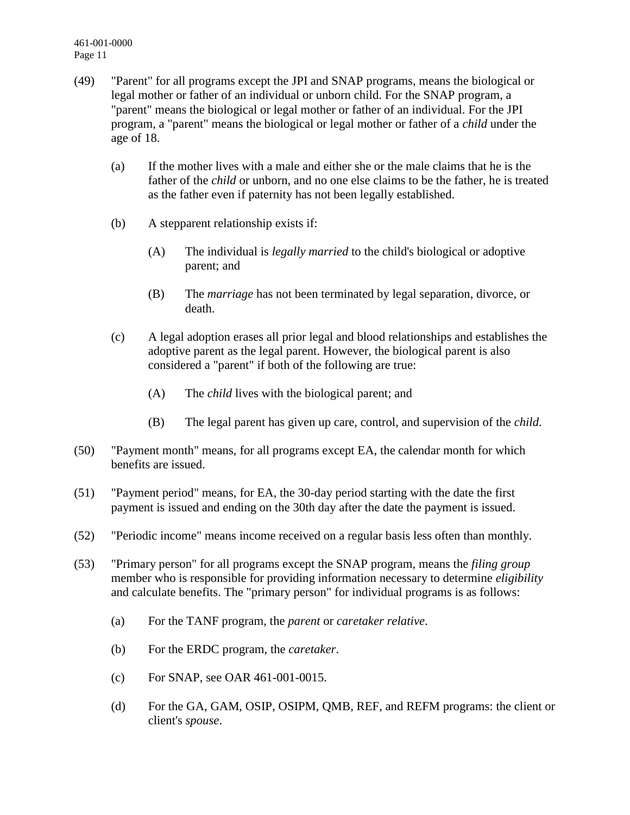461-001-0000 Page 11

- (49) "Parent" for all programs except the JPI and SNAP programs, means the biological or legal mother or father of an individual or unborn child. For the SNAP program, a "parent" means the biological or legal mother or father of an individual. For the JPI program, a "parent" means the biological or legal mother or father of a *child* under the age of 18.
	- (a) If the mother lives with a male and either she or the male claims that he is the father of the *child* or unborn, and no one else claims to be the father, he is treated as the father even if paternity has not been legally established.
	- (b) A stepparent relationship exists if:
		- (A) The individual is *legally married* to the child's biological or adoptive parent; and
		- (B) The *marriage* has not been terminated by legal separation, divorce, or death.
	- (c) A legal adoption erases all prior legal and blood relationships and establishes the adoptive parent as the legal parent. However, the biological parent is also considered a "parent" if both of the following are true:
		- (A) The *child* lives with the biological parent; and
		- (B) The legal parent has given up care, control, and supervision of the *child*.
- (50) "Payment month" means, for all programs except EA, the calendar month for which benefits are issued.
- (51) "Payment period" means, for EA, the 30-day period starting with the date the first payment is issued and ending on the 30th day after the date the payment is issued.
- (52) "Periodic income" means income received on a regular basis less often than monthly.
- (53) "Primary person" for all programs except the SNAP program, means the *filing group* member who is responsible for providing information necessary to determine *eligibility* and calculate benefits. The "primary person" for individual programs is as follows:
	- (a) For the TANF program, the *parent* or *caretaker relative*.
	- (b) For the ERDC program, the *caretaker*.
	- (c) For SNAP, see OAR 461-001-0015.
	- (d) For the GA, GAM, OSIP, OSIPM, QMB, REF, and REFM programs: the client or client's *spouse*.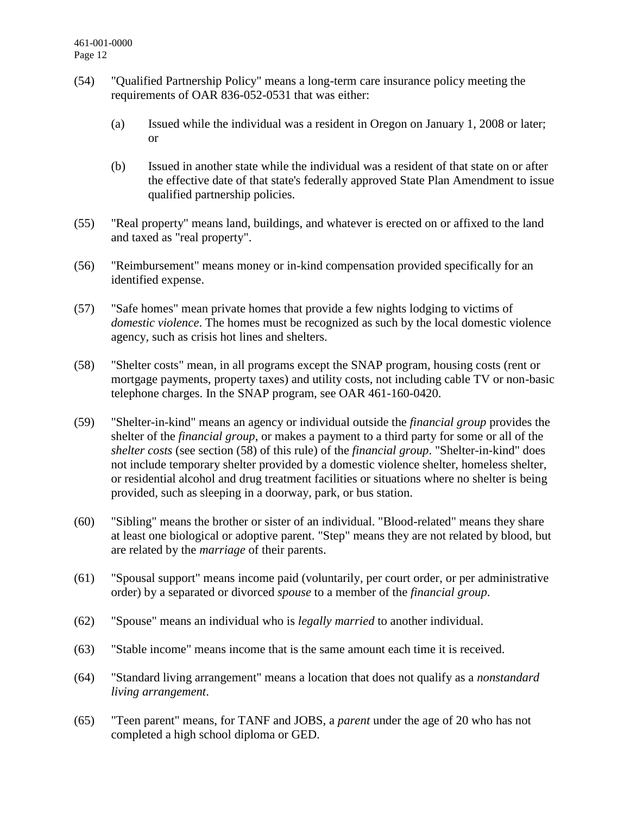- (54) "Qualified Partnership Policy" means a long-term care insurance policy meeting the requirements of OAR 836-052-0531 that was either:
	- (a) Issued while the individual was a resident in Oregon on January 1, 2008 or later; or
	- (b) Issued in another state while the individual was a resident of that state on or after the effective date of that state's federally approved State Plan Amendment to issue qualified partnership policies.
- (55) "Real property" means land, buildings, and whatever is erected on or affixed to the land and taxed as "real property".
- (56) "Reimbursement" means money or in-kind compensation provided specifically for an identified expense.
- (57) "Safe homes" mean private homes that provide a few nights lodging to victims of *domestic violence*. The homes must be recognized as such by the local domestic violence agency, such as crisis hot lines and shelters.
- (58) "Shelter costs" mean, in all programs except the SNAP program, housing costs (rent or mortgage payments, property taxes) and utility costs, not including cable TV or non-basic telephone charges. In the SNAP program, see OAR 461-160-0420.
- (59) "Shelter-in-kind" means an agency or individual outside the *financial group* provides the shelter of the *financial group*, or makes a payment to a third party for some or all of the *shelter costs* (see section (58) of this rule) of the *financial group*. "Shelter-in-kind" does not include temporary shelter provided by a domestic violence shelter, homeless shelter, or residential alcohol and drug treatment facilities or situations where no shelter is being provided, such as sleeping in a doorway, park, or bus station.
- (60) "Sibling" means the brother or sister of an individual. "Blood-related" means they share at least one biological or adoptive parent. "Step" means they are not related by blood, but are related by the *marriage* of their parents.
- (61) "Spousal support" means income paid (voluntarily, per court order, or per administrative order) by a separated or divorced *spouse* to a member of the *financial group*.
- (62) "Spouse" means an individual who is *legally married* to another individual.
- (63) "Stable income" means income that is the same amount each time it is received.
- (64) "Standard living arrangement" means a location that does not qualify as a *nonstandard living arrangement*.
- (65) "Teen parent" means, for TANF and JOBS, a *parent* under the age of 20 who has not completed a high school diploma or GED.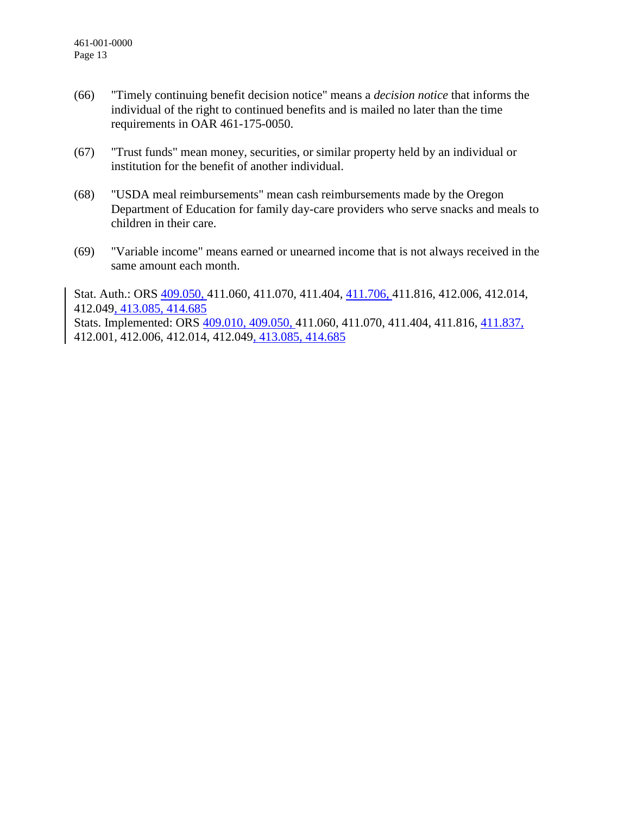- (66) "Timely continuing benefit decision notice" means a *decision notice* that informs the individual of the right to continued benefits and is mailed no later than the time requirements in OAR 461-175-0050.
- (67) "Trust funds" mean money, securities, or similar property held by an individual or institution for the benefit of another individual.
- (68) "USDA meal reimbursements" mean cash reimbursements made by the Oregon Department of Education for family day-care providers who serve snacks and meals to children in their care.
- (69) "Variable income" means earned or unearned income that is not always received in the same amount each month.

Stat. Auth.: ORS 409.050, 411.060, 411.070, 411.404, 411.706, 411.816, 412.006, 412.014, 412.049, 413.085, 414.685 Stats. Implemented: ORS 409.010, 409.050, 411.060, 411.070, 411.404, 411.816, 411.837, 412.001, 412.006, 412.014, 412.049, 413.085, 414.685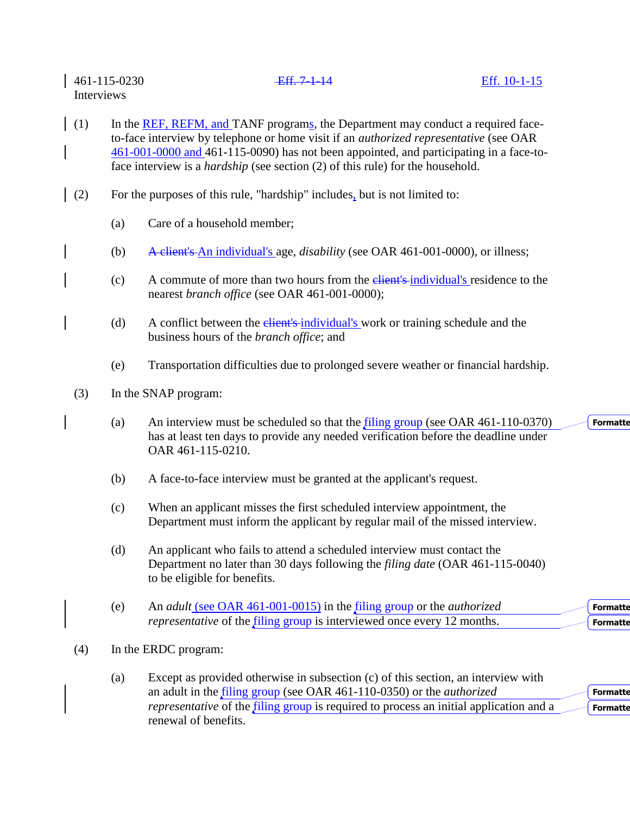461-115-0230 Eff. 7-1-14 Eff. 10-1-15 Interviews (1) In the REF, REFM, and TANF programs, the Department may conduct a required faceto-face interview by telephone or home visit if an *authorized representative* (see OAR 461-001-0000 and 461-115-0090) has not been appointed, and participating in a face-toface interview is a *hardship* (see section (2) of this rule) for the household. (2) For the purposes of this rule, "hardship" includes, but is not limited to: (a) Care of a household member; (b) A client's An individual's age, *disability* (see OAR 461-001-0000), or illness;

- (c) A commute of more than two hours from the client's individual's residence to the nearest *branch office* (see OAR 461-001-0000);
- (d) A conflict between the *elient's* individual's work or training schedule and the business hours of the *branch office*; and
- (e) Transportation difficulties due to prolonged severe weather or financial hardship.
- (3) In the SNAP program:
	- (a) An interview must be scheduled so that the filing group (see OAR 461-110-0370) has at least ten days to provide any needed verification before the deadline under OAR 461-115-0210.

**Formatte** 

- (b) A face-to-face interview must be granted at the applicant's request.
- (c) When an applicant misses the first scheduled interview appointment, the Department must inform the applicant by regular mail of the missed interview.
- (d) An applicant who fails to attend a scheduled interview must contact the Department no later than 30 days following the *filing date* (OAR 461-115-0040) to be eligible for benefits.
- (e) An *adult* (see OAR 461-001-0015) in the filing group or the *authorized representative* of the *filing group* is interviewed once every 12 months. **Formatte Formatte**
- (4) In the ERDC program:

| (a) | Except as provided otherwise in subsection (c) of this section, an interview with                    |                 |
|-----|------------------------------------------------------------------------------------------------------|-----------------|
|     | an adult in the filing group (see OAR 461-110-0350) or the <i>authorized</i>                         | <b>Formatte</b> |
|     | <i>representative</i> of the <i>filing</i> group is required to process an initial application and a | <b>Formatte</b> |
|     | renewal of benefits.                                                                                 |                 |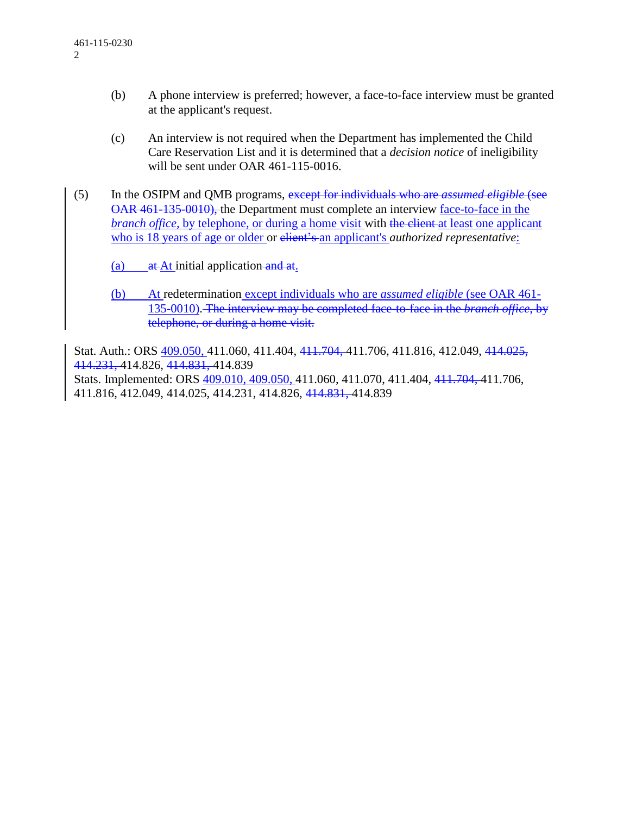- (b) A phone interview is preferred; however, a face-to-face interview must be granted at the applicant's request.
- (c) An interview is not required when the Department has implemented the Child Care Reservation List and it is determined that a *decision notice* of ineligibility will be sent under OAR 461-115-0016.
- (5) In the OSIPM and QMB programs, except for individuals who are *assumed eligible* (see OAR 461-135-0010), the Department must complete an interview face-to-face in the *branch office*, by telephone, or during a home visit with the client at least one applicant who is 18 years of age or older or client's an applicant's *authorized representative*:

(a)  $at$  At initial application and at.

(b) At redetermination except individuals who are *assumed eligible* (see OAR 461- 135-0010). The interview may be completed face-to-face in the *branch office*, by telephone, or during a home visit.

Stat. Auth.: ORS 409.050, 411.060, 411.404, 411.704, 411.706, 411.816, 412.049, 414.025, 414.231, 414.826, 414.831, 414.839

Stats. Implemented: ORS 409.010, 409.050, 411.060, 411.070, 411.404, 411.704, 411.706, 411.816, 412.049, 414.025, 414.231, 414.826, 414.831, 414.839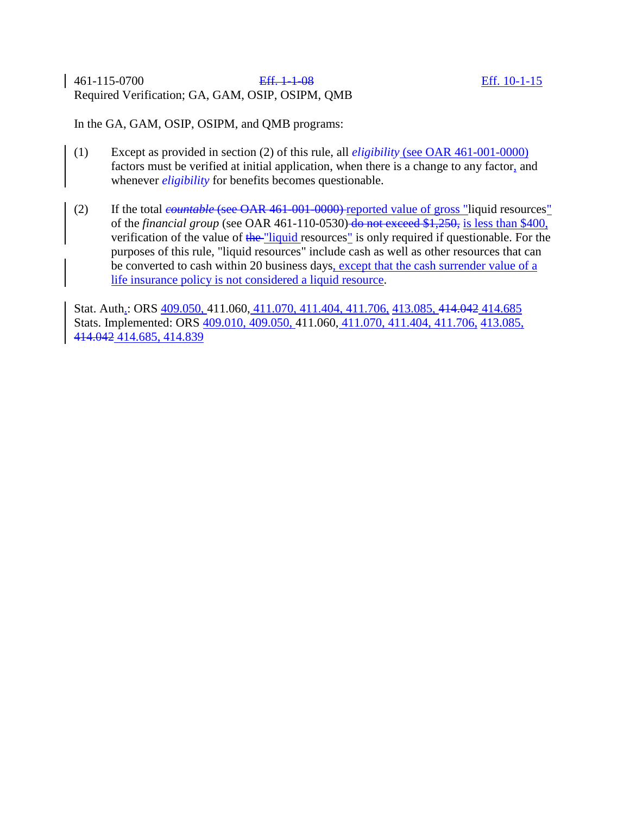## 461-115-0700 Eff. 1-1-08 Eff. 10-1-15 Required Verification; GA, GAM, OSIP, OSIPM, QMB

In the GA, GAM, OSIP, OSIPM, and QMB programs:

- (1) Except as provided in section (2) of this rule, all *eligibility* (see OAR 461-001-0000) factors must be verified at initial application, when there is a change to any factor, and whenever *eligibility* for benefits becomes questionable.
- (2) If the total *countable* (see OAR 461-001-0000) reported value of gross "liquid resources" of the *financial group* (see OAR 461-110-0530) do not exceed \$1,250, is less than \$400, verification of the value of the "liquid resources" is only required if questionable. For the purposes of this rule, "liquid resources" include cash as well as other resources that can be converted to cash within 20 business days, except that the cash surrender value of a life insurance policy is not considered a liquid resource.

Stat. Auth.: ORS 409.050, 411.060, 411.070, 411.404, 411.706, 413.085, 414.042 414.685 Stats. Implemented: ORS 409.010, 409.050, 411.060, 411.070, 411.404, 411.706, 413.085, 414.042 414.685, 414.839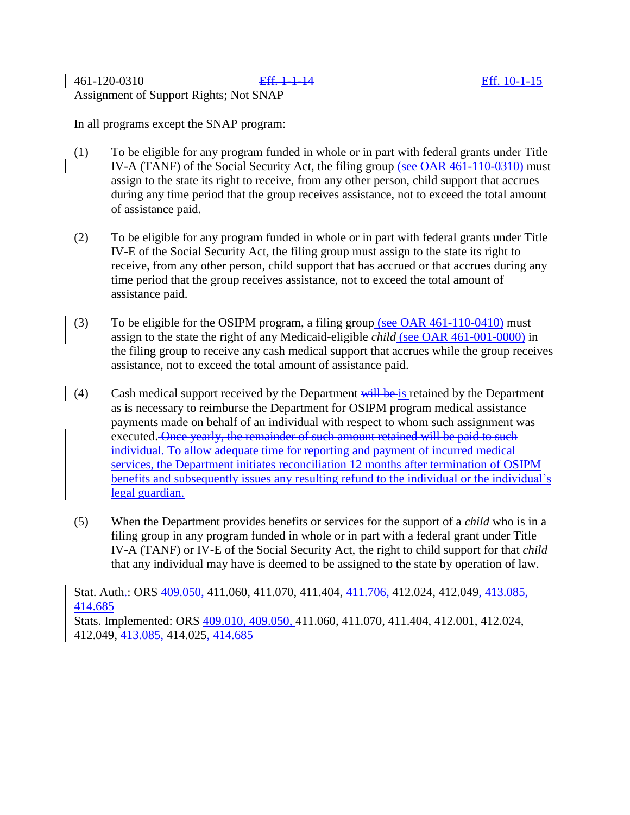461-120-0310 Eff. 1-1-14 Eff. 10-1-15 Assignment of Support Rights; Not SNAP

In all programs except the SNAP program:

- (1) To be eligible for any program funded in whole or in part with federal grants under Title IV-A (TANF) of the Social Security Act, the filing group (see OAR 461-110-0310) must assign to the state its right to receive, from any other person, child support that accrues during any time period that the group receives assistance, not to exceed the total amount of assistance paid.
- (2) To be eligible for any program funded in whole or in part with federal grants under Title IV-E of the Social Security Act, the filing group must assign to the state its right to receive, from any other person, child support that has accrued or that accrues during any time period that the group receives assistance, not to exceed the total amount of assistance paid.
- (3) To be eligible for the OSIPM program, a filing group (see OAR 461-110-0410) must assign to the state the right of any Medicaid-eligible *child* (see OAR 461-001-0000) in the filing group to receive any cash medical support that accrues while the group receives assistance, not to exceed the total amount of assistance paid.
- (4) Cash medical support received by the Department  $\frac{1}{w}$  be is retained by the Department as is necessary to reimburse the Department for OSIPM program medical assistance payments made on behalf of an individual with respect to whom such assignment was executed. Once yearly, the remainder of such amount retained will be paid to such individual. To allow adequate time for reporting and payment of incurred medical services, the Department initiates reconciliation 12 months after termination of OSIPM benefits and subsequently issues any resulting refund to the individual or the individual's legal guardian.
- (5) When the Department provides benefits or services for the support of a *child* who is in a filing group in any program funded in whole or in part with a federal grant under Title IV-A (TANF) or IV-E of the Social Security Act, the right to child support for that *child*  that any individual may have is deemed to be assigned to the state by operation of law.

Stat. Auth.: ORS 409.050, 411.060, 411.070, 411.404, 411.706, 412.024, 412.049, 413.085, 414.685

Stats. Implemented: ORS 409.010, 409.050, 411.060, 411.070, 411.404, 412.001, 412.024, 412.049, 413.085, 414.025, 414.685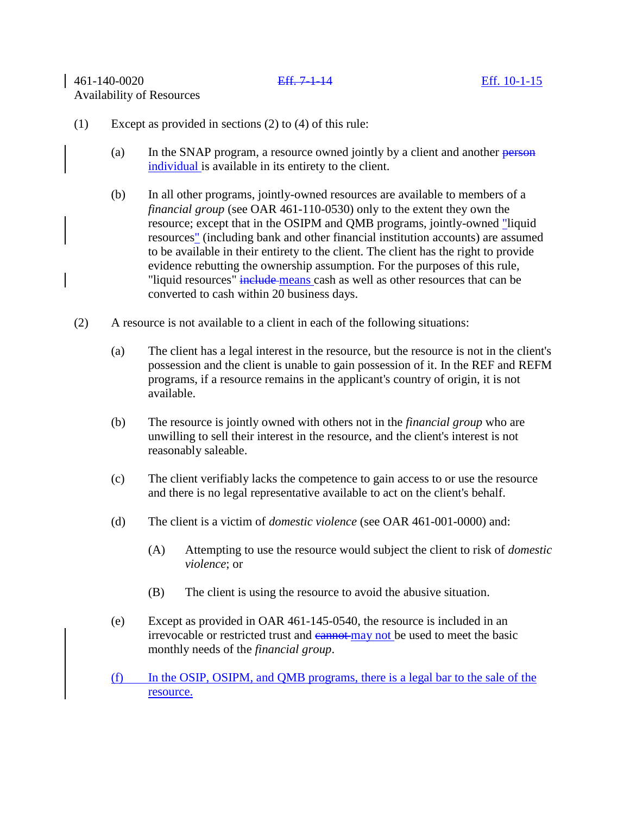## (1) Except as provided in sections (2) to (4) of this rule:

- (a) In the SNAP program, a resource owned jointly by a client and another person individual is available in its entirety to the client.
- (b) In all other programs, jointly-owned resources are available to members of a *financial group* (see OAR 461-110-0530) only to the extent they own the resource; except that in the OSIPM and QMB programs, jointly-owned "liquid resources" (including bank and other financial institution accounts) are assumed to be available in their entirety to the client. The client has the right to provide evidence rebutting the ownership assumption. For the purposes of this rule, "liquid resources" include means cash as well as other resources that can be converted to cash within 20 business days.
- (2) A resource is not available to a client in each of the following situations:
	- (a) The client has a legal interest in the resource, but the resource is not in the client's possession and the client is unable to gain possession of it. In the REF and REFM programs, if a resource remains in the applicant's country of origin, it is not available.
	- (b) The resource is jointly owned with others not in the *financial group* who are unwilling to sell their interest in the resource, and the client's interest is not reasonably saleable.
	- (c) The client verifiably lacks the competence to gain access to or use the resource and there is no legal representative available to act on the client's behalf.
	- (d) The client is a victim of *domestic violence* (see OAR 461-001-0000) and:
		- (A) Attempting to use the resource would subject the client to risk of *domestic violence*; or
		- (B) The client is using the resource to avoid the abusive situation.
	- (e) Except as provided in OAR 461-145-0540, the resource is included in an irrevocable or restricted trust and cannot may not be used to meet the basic monthly needs of the *financial group*.
	- (f) In the OSIP, OSIPM, and QMB programs, there is a legal bar to the sale of the resource.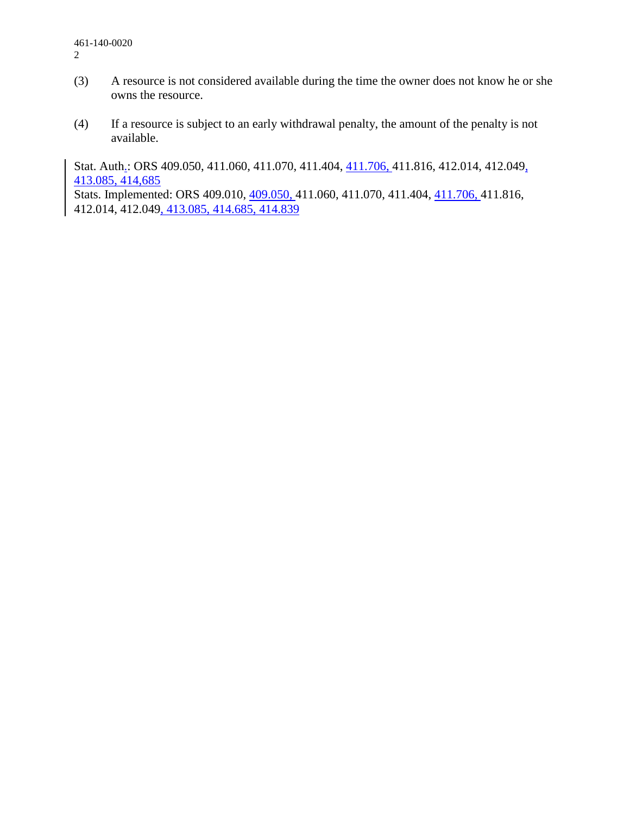- (3) A resource is not considered available during the time the owner does not know he or she owns the resource.
- (4) If a resource is subject to an early withdrawal penalty, the amount of the penalty is not available.

Stat. Auth.: ORS 409.050, 411.060, 411.070, 411.404, 411.706, 411.816, 412.014, 412.049, 413.085, 414,685

Stats. Implemented: ORS 409.010, 409.050, 411.060, 411.070, 411.404, 411.706, 411.816, 412.014, 412.049, 413.085, 414.685, 414.839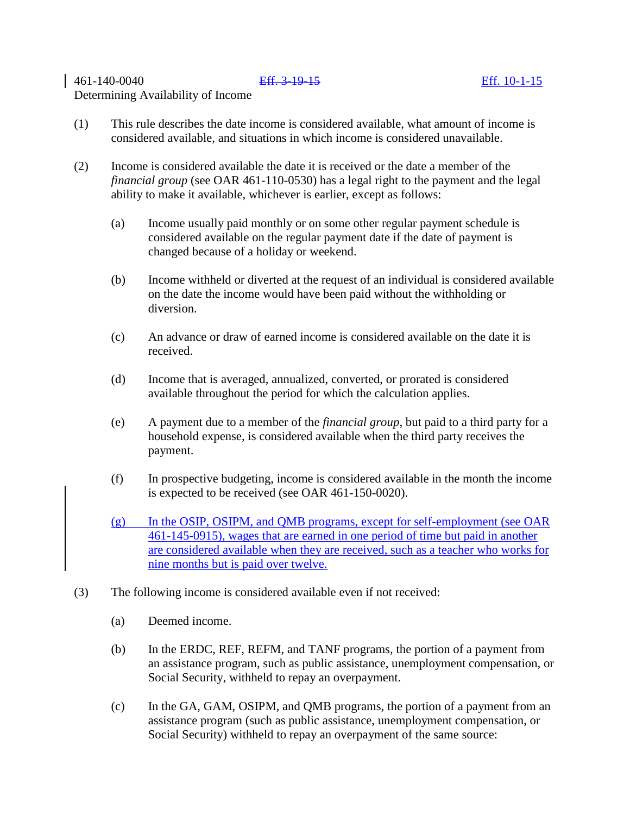# 461-140-0040 Eff. 3-19-15 Eff. 10-1-15 Determining Availability of Income

- (2) Income is considered available the date it is received or the date a member of the *financial group* (see OAR 461-110-0530) has a legal right to the payment and the legal ability to make it available, whichever is earlier, except as follows:
	- (a) Income usually paid monthly or on some other regular payment schedule is considered available on the regular payment date if the date of payment is changed because of a holiday or weekend.
	- (b) Income withheld or diverted at the request of an individual is considered available on the date the income would have been paid without the withholding or diversion.
	- (c) An advance or draw of earned income is considered available on the date it is received.
	- (d) Income that is averaged, annualized, converted, or prorated is considered available throughout the period for which the calculation applies.
	- (e) A payment due to a member of the *financial group*, but paid to a third party for a household expense, is considered available when the third party receives the payment.
	- (f) In prospective budgeting, income is considered available in the month the income is expected to be received (see OAR 461-150-0020).
	- (g) In the OSIP, OSIPM, and QMB programs, except for self-employment (see OAR 461-145-0915), wages that are earned in one period of time but paid in another are considered available when they are received, such as a teacher who works for nine months but is paid over twelve.
- (3) The following income is considered available even if not received:
	- (a) Deemed income.
	- (b) In the ERDC, REF, REFM, and TANF programs, the portion of a payment from an assistance program, such as public assistance, unemployment compensation, or Social Security, withheld to repay an overpayment.
	- (c) In the GA, GAM, OSIPM, and QMB programs, the portion of a payment from an assistance program (such as public assistance, unemployment compensation, or Social Security) withheld to repay an overpayment of the same source: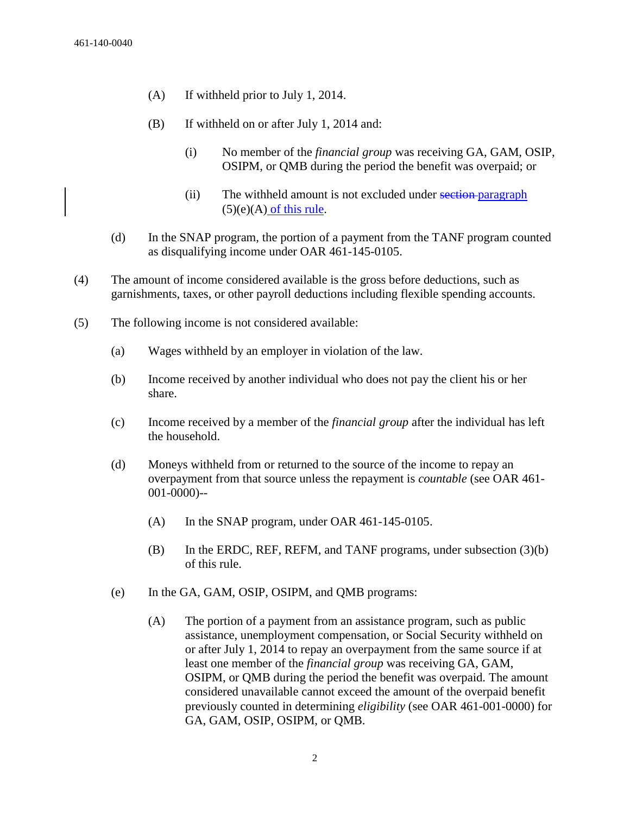- (A) If withheld prior to July 1, 2014.
- (B) If withheld on or after July 1, 2014 and:
	- (i) No member of the *financial group* was receiving GA, GAM, OSIP, OSIPM, or QMB during the period the benefit was overpaid; or
	- (ii) The withheld amount is not excluded under section-paragraph  $(5)(e)(A)$  of this rule.
- (d) In the SNAP program, the portion of a payment from the TANF program counted as disqualifying income under OAR 461-145-0105.
- (4) The amount of income considered available is the gross before deductions, such as garnishments, taxes, or other payroll deductions including flexible spending accounts.
- (5) The following income is not considered available:
	- (a) Wages withheld by an employer in violation of the law.
	- (b) Income received by another individual who does not pay the client his or her share.
	- (c) Income received by a member of the *financial group* after the individual has left the household.
	- (d) Moneys withheld from or returned to the source of the income to repay an overpayment from that source unless the repayment is *countable* (see OAR 461- 001-0000)--
		- (A) In the SNAP program, under OAR 461-145-0105.
		- (B) In the ERDC, REF, REFM, and TANF programs, under subsection (3)(b) of this rule.
	- (e) In the GA, GAM, OSIP, OSIPM, and QMB programs:
		- (A) The portion of a payment from an assistance program, such as public assistance, unemployment compensation, or Social Security withheld on or after July 1, 2014 to repay an overpayment from the same source if at least one member of the *financial group* was receiving GA, GAM, OSIPM, or QMB during the period the benefit was overpaid. The amount considered unavailable cannot exceed the amount of the overpaid benefit previously counted in determining *eligibility* (see OAR 461-001-0000) for GA, GAM, OSIP, OSIPM, or QMB.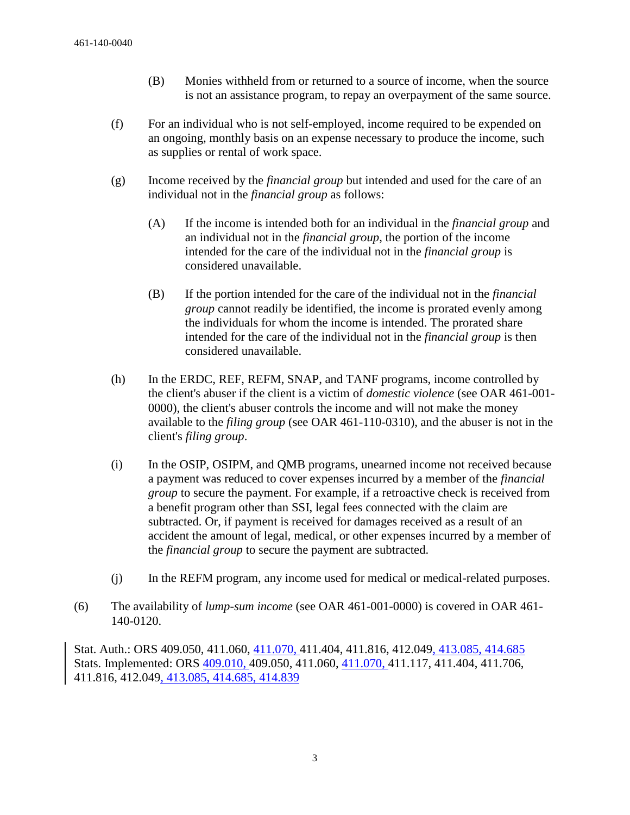- (B) Monies withheld from or returned to a source of income, when the source is not an assistance program, to repay an overpayment of the same source.
- (f) For an individual who is not self-employed, income required to be expended on an ongoing, monthly basis on an expense necessary to produce the income, such as supplies or rental of work space.
- (g) Income received by the *financial group* but intended and used for the care of an individual not in the *financial group* as follows:
	- (A) If the income is intended both for an individual in the *financial group* and an individual not in the *financial group*, the portion of the income intended for the care of the individual not in the *financial group* is considered unavailable.
	- (B) If the portion intended for the care of the individual not in the *financial group* cannot readily be identified, the income is prorated evenly among the individuals for whom the income is intended. The prorated share intended for the care of the individual not in the *financial group* is then considered unavailable.
- (h) In the ERDC, REF, REFM, SNAP, and TANF programs, income controlled by the client's abuser if the client is a victim of *domestic violence* (see OAR 461-001- 0000), the client's abuser controls the income and will not make the money available to the *filing group* (see OAR 461-110-0310), and the abuser is not in the client's *filing group*.
- (i) In the OSIP, OSIPM, and QMB programs, unearned income not received because a payment was reduced to cover expenses incurred by a member of the *financial group* to secure the payment. For example, if a retroactive check is received from a benefit program other than SSI, legal fees connected with the claim are subtracted. Or, if payment is received for damages received as a result of an accident the amount of legal, medical, or other expenses incurred by a member of the *financial group* to secure the payment are subtracted.
- (j) In the REFM program, any income used for medical or medical-related purposes.
- (6) The availability of *lump-sum income* (see OAR 461-001-0000) is covered in OAR 461- 140-0120.

Stat. Auth.: ORS 409.050, 411.060,  $411.070$ , 411.404, 411.816, 412.049, 413.085, 414.685 Stats. Implemented: ORS 409.010, 409.050, 411.060, 411.070, 411.117, 411.404, 411.706, 411.816, 412.049, 413.085, 414.685, 414.839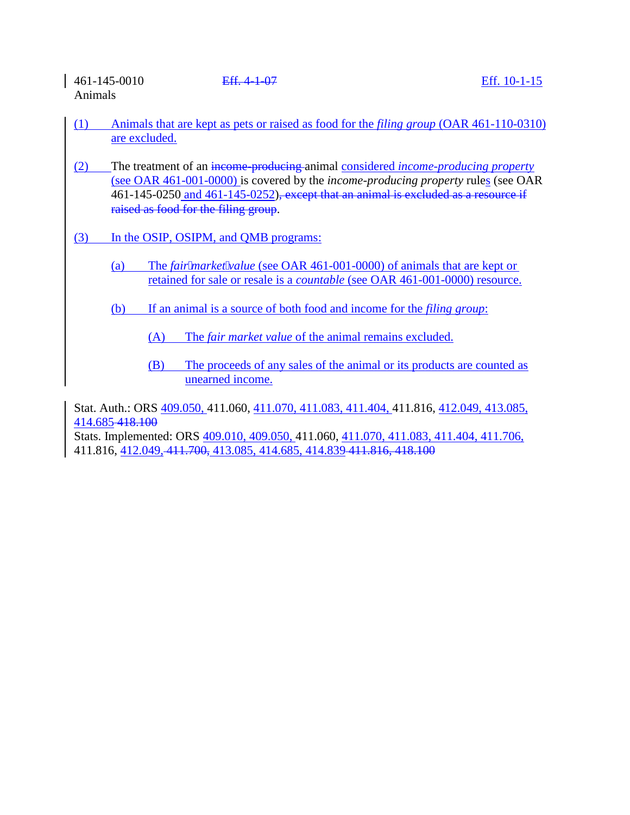461-145-0010 Eff. 4-1-07 Eff. 10-1-15 Animals

- (1) Animals that are kept as pets or raised as food for the *filing group* (OAR 461-110-0310) are excluded.
- (2) The treatment of an income-producing animal considered *income-producing property* (see OAR 461-001-0000) is covered by the *income-producing property* rules (see OAR 461-145-0250 and 461-145-0252), except that an animal is excluded as a resource if raised as food for the filing group.
- (3) In the OSIP, OSIPM, and QMB programs:
	- (a) The *fairmarketvalue* (see OAR 461-001-0000) of animals that are kept or retained for sale or resale is a *countable* (see OAR 461-001-0000) resource.
	- (b) If an animal is a source of both food and income for the *filing group*:
		- (A) The *fair market value* of the animal remains excluded.
		- (B) The proceeds of any sales of the animal or its products are counted as unearned income.

Stat. Auth.: ORS 409.050, 411.060, 411.070, 411.083, 411.404, 411.816, 412.049, 413.085, 414.685 418.100

Stats. Implemented: ORS 409.010, 409.050, 411.060, 411.070, 411.083, 411.404, 411.706, 411.816, 412.049, 411.700, 413.085, 414.685, 414.839 411.816, 418.100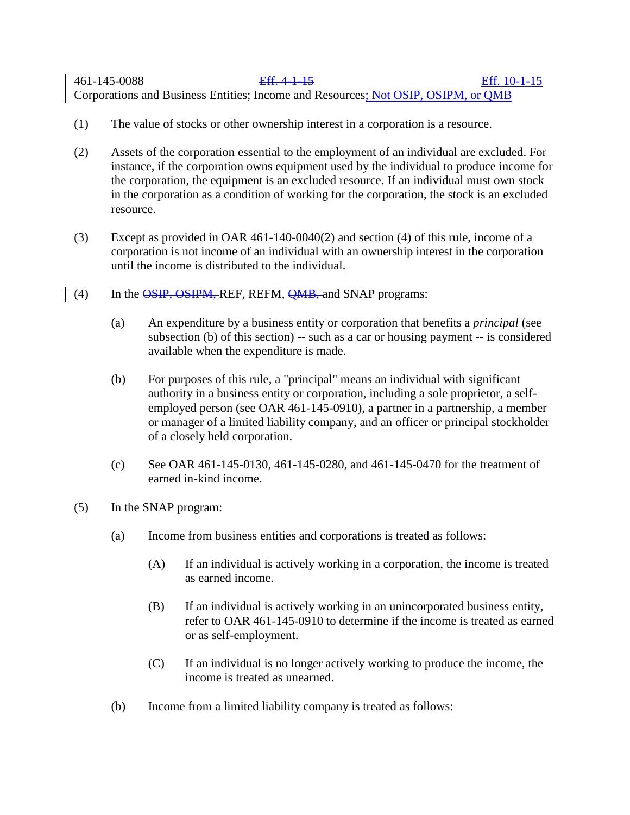# 461-145-0088 Eff. 4-1-15 Eff. 10-1-15 Corporations and Business Entities; Income and Resources; Not OSIP, OSIPM, or QMB

- (1) The value of stocks or other ownership interest in a corporation is a resource.
- (2) Assets of the corporation essential to the employment of an individual are excluded. For instance, if the corporation owns equipment used by the individual to produce income for the corporation, the equipment is an excluded resource. If an individual must own stock in the corporation as a condition of working for the corporation, the stock is an excluded resource.
- (3) Except as provided in OAR 461-140-0040(2) and section (4) of this rule, income of a corporation is not income of an individual with an ownership interest in the corporation until the income is distributed to the individual.
- (4) In the OSIP, OSIPM, REF, REFM, QMB, and SNAP programs:
	- (a) An expenditure by a business entity or corporation that benefits a *principal* (see subsection (b) of this section) -- such as a car or housing payment -- is considered available when the expenditure is made.
	- (b) For purposes of this rule, a "principal" means an individual with significant authority in a business entity or corporation, including a sole proprietor, a selfemployed person (see OAR 461-145-0910), a partner in a partnership, a member or manager of a limited liability company, and an officer or principal stockholder of a closely held corporation.
	- (c) See OAR 461-145-0130, 461-145-0280, and 461-145-0470 for the treatment of earned in-kind income.
- (5) In the SNAP program:
	- (a) Income from business entities and corporations is treated as follows:
		- (A) If an individual is actively working in a corporation, the income is treated as earned income.
		- (B) If an individual is actively working in an unincorporated business entity, refer to OAR 461-145-0910 to determine if the income is treated as earned or as self-employment.
		- (C) If an individual is no longer actively working to produce the income, the income is treated as unearned.
	- (b) Income from a limited liability company is treated as follows: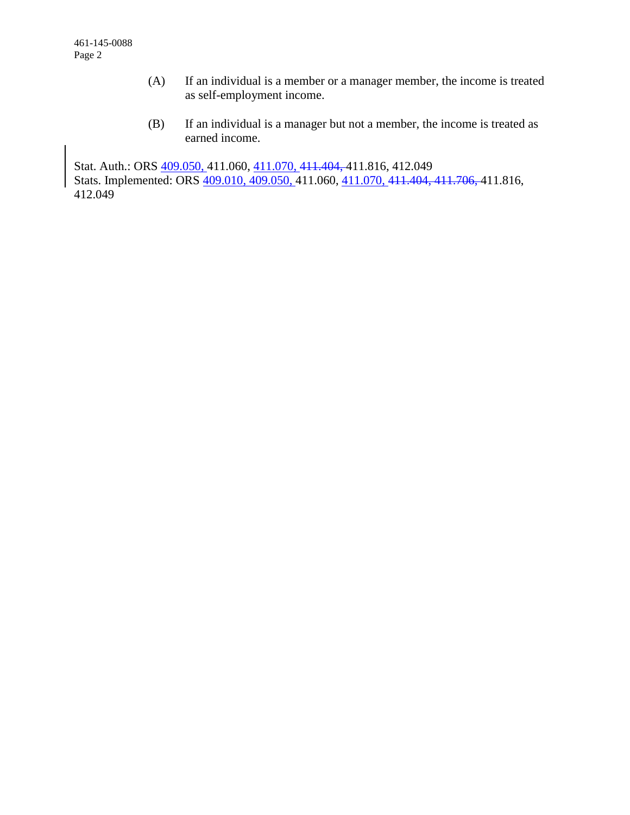- (A) If an individual is a member or a manager member, the income is treated as self-employment income.
- (B) If an individual is a manager but not a member, the income is treated as earned income.

Stat. Auth.: ORS 409.050, 411.060, 411.070, 411.404, 411.816, 412.049 Stats. Implemented: ORS 409.010, 409.050, 411.060, 411.070, 411.404, 411.706, 411.816, 412.049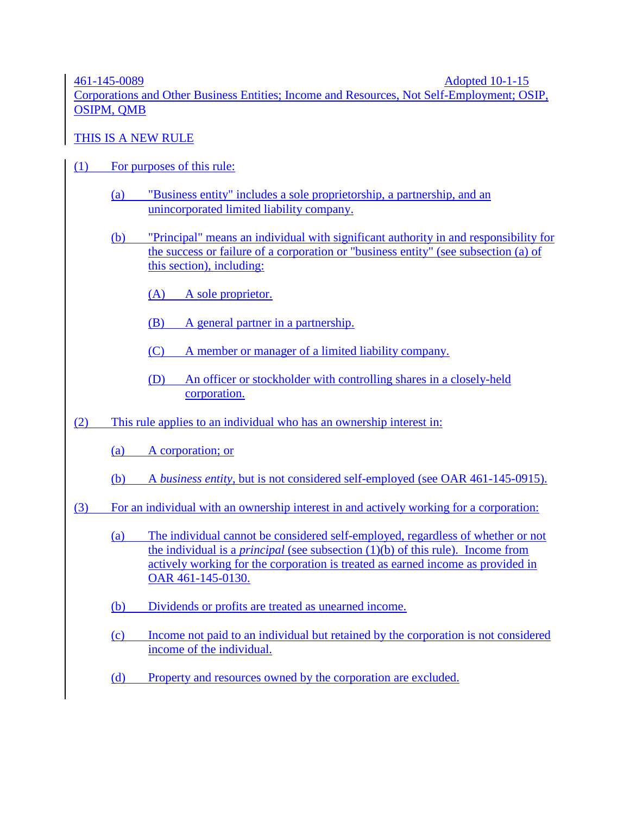461-145-0089 Adopted 10-1-15

Corporations and Other Business Entities; Income and Resources, Not Self-Employment; OSIP, OSIPM, QMB

THIS IS A NEW RULE

- (1) For purposes of this rule:
	- (a) "Business entity" includes a sole proprietorship, a partnership, and an unincorporated limited liability company.
	- (b) "Principal" means an individual with significant authority in and responsibility for the success or failure of a corporation or "business entity" (see subsection (a) of this section), including:
		- (A) A sole proprietor.
		- (B) A general partner in a partnership.
		- (C) A member or manager of a limited liability company.
		- (D) An officer or stockholder with controlling shares in a closely-held corporation.
- (2) This rule applies to an individual who has an ownership interest in:
	- (a) A corporation; or
	- (b) A *business entity*, but is not considered self-employed (see OAR 461-145-0915).
- (3) For an individual with an ownership interest in and actively working for a corporation:
	- (a) The individual cannot be considered self-employed, regardless of whether or not the individual is a *principal* (see subsection (1)(b) of this rule). Income from actively working for the corporation is treated as earned income as provided in OAR 461-145-0130.
	- (b) Dividends or profits are treated as unearned income.
	- (c) Income not paid to an individual but retained by the corporation is not considered income of the individual.
	- (d) Property and resources owned by the corporation are excluded.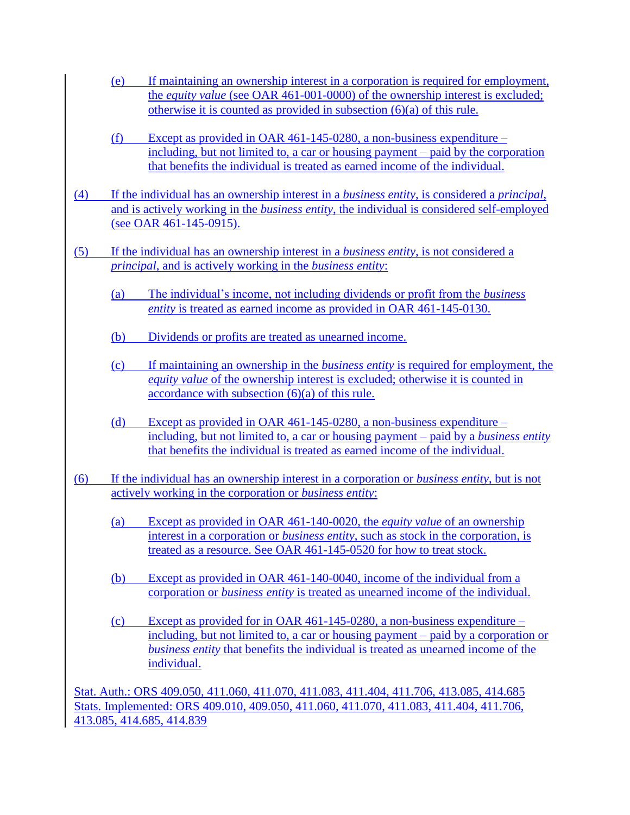- (e) If maintaining an ownership interest in a corporation is required for employment, the *equity value* (see OAR 461-001-0000) of the ownership interest is excluded; otherwise it is counted as provided in subsection (6)(a) of this rule.
- (f) Except as provided in OAR 461-145-0280, a non-business expenditure including, but not limited to, a car or housing payment – paid by the corporation that benefits the individual is treated as earned income of the individual.
- (4) If the individual has an ownership interest in a *business entity*, is considered a *principal*, and is actively working in the *business entity*, the individual is considered self-employed (see OAR 461-145-0915).
- (5) If the individual has an ownership interest in a *business entity*, is not considered a *principal*, and is actively working in the *business entity*:
	- (a) The individual's income, not including dividends or profit from the *business entity* is treated as earned income as provided in OAR 461-145-0130.
	- (b) Dividends or profits are treated as unearned income.
	- (c) If maintaining an ownership in the *business entity* is required for employment, the *equity value* of the ownership interest is excluded; otherwise it is counted in accordance with subsection (6)(a) of this rule.
	- (d) Except as provided in OAR 461-145-0280, a non-business expenditure including, but not limited to, a car or housing payment – paid by a *business entity* that benefits the individual is treated as earned income of the individual.
- (6) If the individual has an ownership interest in a corporation or *business entity*, but is not actively working in the corporation or *business entity*:
	- (a) Except as provided in OAR 461-140-0020, the *equity value* of an ownership interest in a corporation or *business entity*, such as stock in the corporation, is treated as a resource. See OAR 461-145-0520 for how to treat stock.
	- (b) Except as provided in OAR 461-140-0040, income of the individual from a corporation or *business entity* is treated as unearned income of the individual.
	- (c) Except as provided for in OAR 461-145-0280, a non-business expenditure including, but not limited to, a car or housing payment – paid by a corporation or *business entity* that benefits the individual is treated as unearned income of the individual.

Stat. Auth.: ORS 409.050, 411.060, 411.070, 411.083, 411.404, 411.706, 413.085, 414.685 Stats. Implemented: ORS 409.010, 409.050, 411.060, 411.070, 411.083, 411.404, 411.706, 413.085, 414.685, 414.839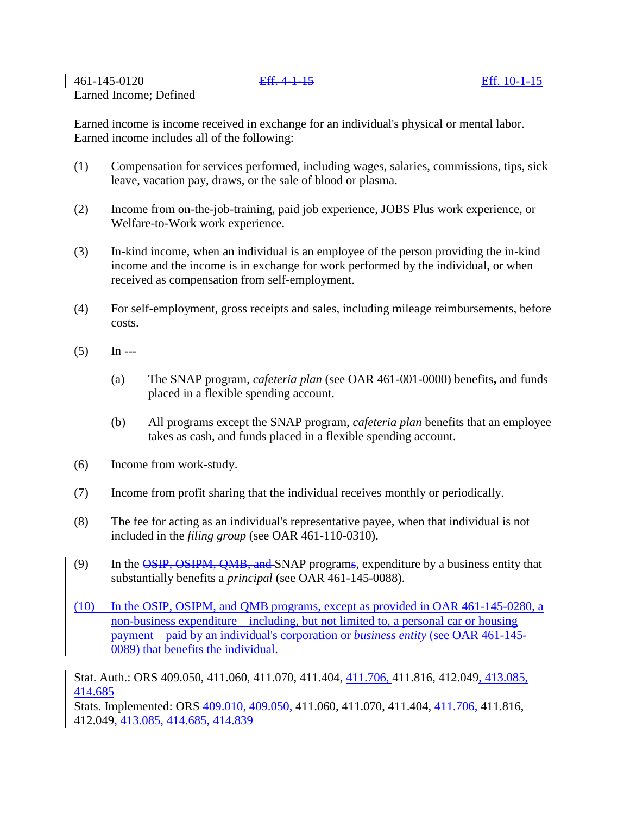461-145-0120 Eff. 4-1-15 Eff. 10-1-15 Earned Income; Defined

Earned income is income received in exchange for an individual's physical or mental labor. Earned income includes all of the following:

- (1) Compensation for services performed, including wages, salaries, commissions, tips, sick leave, vacation pay, draws, or the sale of blood or plasma.
- (2) Income from on-the-job-training, paid job experience, JOBS Plus work experience, or Welfare-to-Work work experience.
- (3) In-kind income, when an individual is an employee of the person providing the in-kind income and the income is in exchange for work performed by the individual, or when received as compensation from self-employment.
- (4) For self-employment, gross receipts and sales, including mileage reimbursements, before costs.
- $(5)$  In ---
	- (a) The SNAP program, *cafeteria plan* (see OAR 461-001-0000) benefits**,** and funds placed in a flexible spending account.
	- (b) All programs except the SNAP program, *cafeteria plan* benefits that an employee takes as cash, and funds placed in a flexible spending account.
- (6) Income from work-study.
- (7) Income from profit sharing that the individual receives monthly or periodically.
- (8) The fee for acting as an individual's representative payee, when that individual is not included in the *filing group* (see OAR 461-110-0310).
- (9) In the OSIP, OSIPM, OMB, and SNAP programs, expenditure by a business entity that substantially benefits a *principal* (see OAR 461-145-0088).
- (10) In the OSIP, OSIPM, and QMB programs, except as provided in OAR 461-145-0280, a non-business expenditure – including, but not limited to, a personal car or housing payment – paid by an individual's corporation or *business entity* (see OAR 461-145- 0089) that benefits the individual.

Stat. Auth.: ORS 409.050, 411.060, 411.070, 411.404, 411.706, 411.816, 412.049, 413.085, 414.685

Stats. Implemented: ORS 409.010, 409.050, 411.060, 411.070, 411.404, 411.706, 411.816, 412.049, 413.085, 414.685, 414.839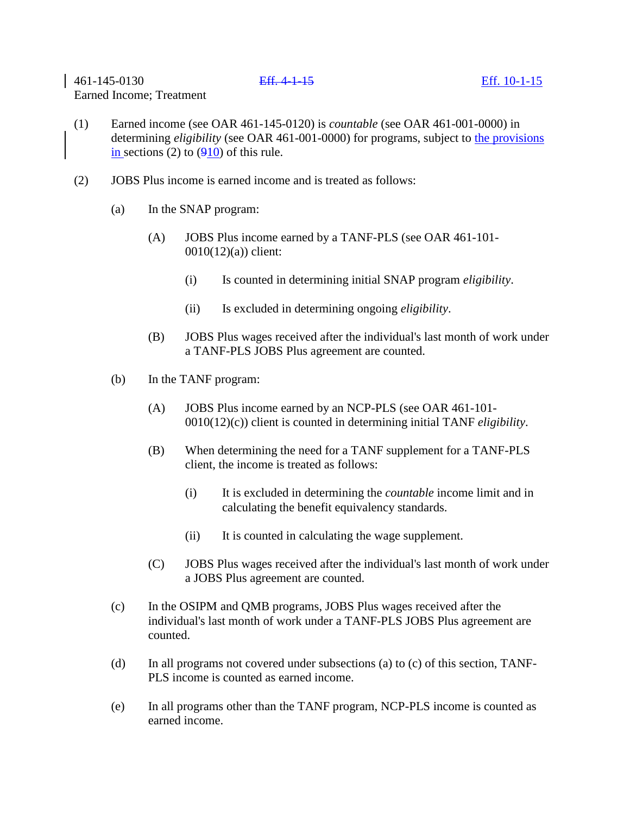461-145-0130 Eff. 4-1-15 Eff. 10-1-15 Earned Income; Treatment

- (1) Earned income (see OAR 461-145-0120) is *countable* (see OAR 461-001-0000) in determining *eligibility* (see OAR 461-001-0000) for programs, subject to the provisions in sections (2) to  $(910)$  of this rule.
- (2) JOBS Plus income is earned income and is treated as follows:
	- (a) In the SNAP program:
		- (A) JOBS Plus income earned by a TANF-PLS (see OAR 461-101- 0010(12)(a)) client:
			- (i) Is counted in determining initial SNAP program *eligibility*.
			- (ii) Is excluded in determining ongoing *eligibility*.
		- (B) JOBS Plus wages received after the individual's last month of work under a TANF-PLS JOBS Plus agreement are counted.
	- (b) In the TANF program:
		- (A) JOBS Plus income earned by an NCP-PLS (see OAR 461-101- 0010(12)(c)) client is counted in determining initial TANF *eligibility*.
		- (B) When determining the need for a TANF supplement for a TANF-PLS client, the income is treated as follows:
			- (i) It is excluded in determining the *countable* income limit and in calculating the benefit equivalency standards.
			- (ii) It is counted in calculating the wage supplement.
		- (C) JOBS Plus wages received after the individual's last month of work under a JOBS Plus agreement are counted.
	- (c) In the OSIPM and QMB programs, JOBS Plus wages received after the individual's last month of work under a TANF-PLS JOBS Plus agreement are counted.
	- (d) In all programs not covered under subsections (a) to (c) of this section, TANF-PLS income is counted as earned income.
	- (e) In all programs other than the TANF program, NCP-PLS income is counted as earned income.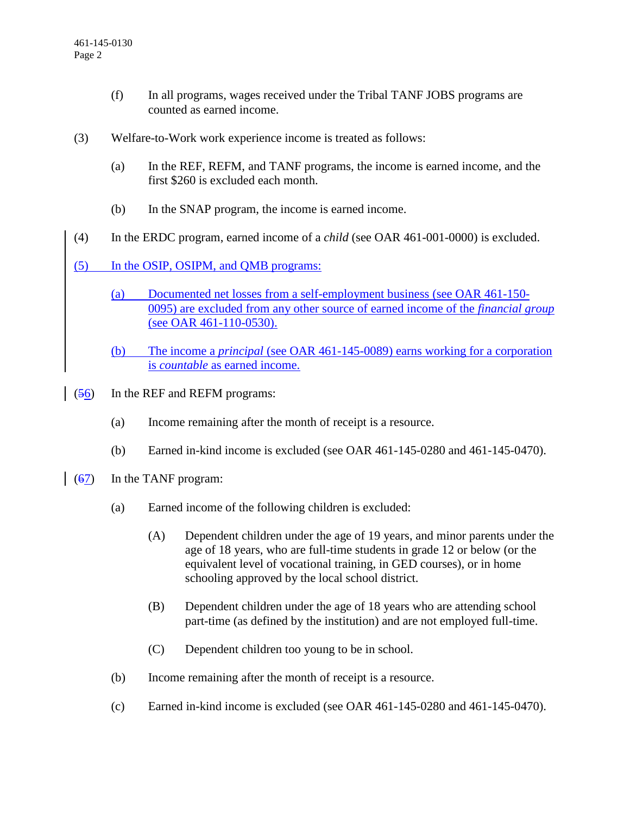- (f) In all programs, wages received under the Tribal TANF JOBS programs are counted as earned income.
- (3) Welfare-to-Work work experience income is treated as follows:
	- (a) In the REF, REFM, and TANF programs, the income is earned income, and the first \$260 is excluded each month.
	- (b) In the SNAP program, the income is earned income.
- (4) In the ERDC program, earned income of a *child* (see OAR 461-001-0000) is excluded.
- (5) In the OSIP, OSIPM, and QMB programs:
	- (a) Documented net losses from a self-employment business (see OAR 461-150- 0095) are excluded from any other source of earned income of the *financial group* (see OAR 461-110-0530).
	- (b) The income a *principal* (see OAR 461-145-0089) earns working for a corporation is *countable* as earned income.
- (56) In the REF and REFM programs:
	- (a) Income remaining after the month of receipt is a resource.
	- (b) Earned in-kind income is excluded (see OAR 461-145-0280 and 461-145-0470).
- (67) In the TANF program:
	- (a) Earned income of the following children is excluded:
		- (A) Dependent children under the age of 19 years, and minor parents under the age of 18 years, who are full-time students in grade 12 or below (or the equivalent level of vocational training, in GED courses), or in home schooling approved by the local school district.
		- (B) Dependent children under the age of 18 years who are attending school part-time (as defined by the institution) and are not employed full-time.
		- (C) Dependent children too young to be in school.
	- (b) Income remaining after the month of receipt is a resource.
	- (c) Earned in-kind income is excluded (see OAR 461-145-0280 and 461-145-0470).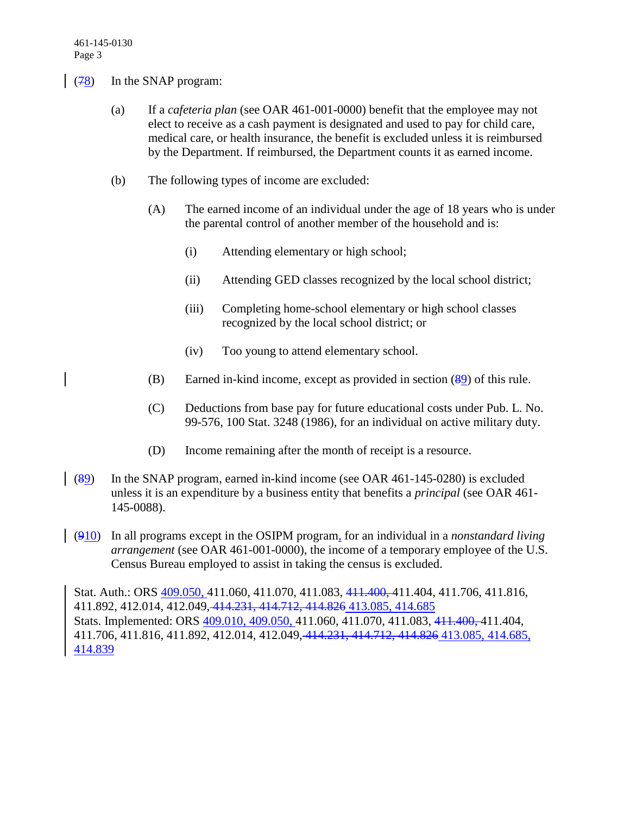- $(78)$  In the SNAP program:
	- (a) If a *cafeteria plan* (see OAR 461-001-0000) benefit that the employee may not elect to receive as a cash payment is designated and used to pay for child care, medical care, or health insurance, the benefit is excluded unless it is reimbursed by the Department. If reimbursed, the Department counts it as earned income.
	- (b) The following types of income are excluded:
		- (A) The earned income of an individual under the age of 18 years who is under the parental control of another member of the household and is:
			- (i) Attending elementary or high school;
			- (ii) Attending GED classes recognized by the local school district;
			- (iii) Completing home-school elementary or high school classes recognized by the local school district; or
			- (iv) Too young to attend elementary school.
		- (B) Earned in-kind income, except as provided in section (89) of this rule.
		- (C) Deductions from base pay for future educational costs under Pub. L. No. 99-576, 100 Stat. 3248 (1986), for an individual on active military duty.
		- (D) Income remaining after the month of receipt is a resource.
- (89) In the SNAP program, earned in-kind income (see OAR 461-145-0280) is excluded unless it is an expenditure by a business entity that benefits a *principal* (see OAR 461- 145-0088).
- (910) In all programs except in the OSIPM program, for an individual in a *nonstandard living arrangement* (see OAR 461-001-0000), the income of a temporary employee of the U.S. Census Bureau employed to assist in taking the census is excluded.

Stat. Auth.: ORS 409.050, 411.060, 411.070, 411.083, 411.400, 411.404, 411.706, 411.816, 411.892, 412.014, 412.049, 414.231, 414.712, 414.826 413.085, 414.685 Stats. Implemented: ORS 409.010, 409.050, 411.060, 411.070, 411.083, 411.400, 411.404, 411.706, 411.816, 411.892, 412.014, 412.049, 414.231, 414.712, 414.826 413.085, 414.685, 414.839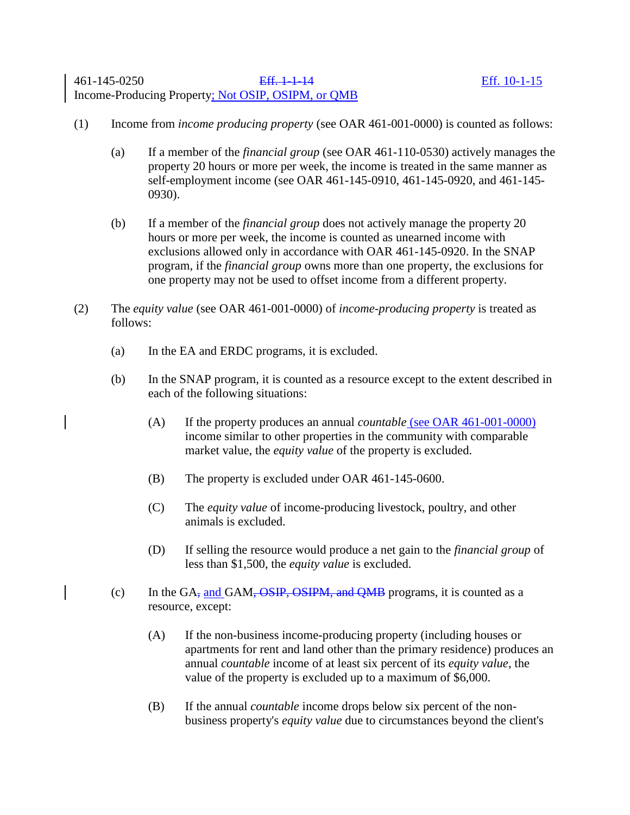- (1) Income from *income producing property* (see OAR 461-001-0000) is counted as follows:
	- (a) If a member of the *financial group* (see OAR 461-110-0530) actively manages the property 20 hours or more per week, the income is treated in the same manner as self-employment income (see OAR 461-145-0910, 461-145-0920, and 461-145- 0930).
	- (b) If a member of the *financial group* does not actively manage the property 20 hours or more per week, the income is counted as unearned income with exclusions allowed only in accordance with OAR 461-145-0920. In the SNAP program, if the *financial group* owns more than one property, the exclusions for one property may not be used to offset income from a different property.
- (2) The *equity value* (see OAR 461-001-0000) of *income-producing property* is treated as follows:
	- (a) In the EA and ERDC programs, it is excluded.
	- (b) In the SNAP program, it is counted as a resource except to the extent described in each of the following situations:
		- (A) If the property produces an annual *countable* (see OAR 461-001-0000) income similar to other properties in the community with comparable market value, the *equity value* of the property is excluded.
		- (B) The property is excluded under OAR 461-145-0600.
		- (C) The *equity value* of income-producing livestock, poultry, and other animals is excluded.
		- (D) If selling the resource would produce a net gain to the *financial group* of less than \$1,500, the *equity value* is excluded.
	- (c) In the GA<sub>7</sub> and GAM,  $\overline{OSIP}$ ,  $\overline{OSIPM}$ , and  $\overline{QMB}$  programs, it is counted as a resource, except:
		- (A) If the non-business income-producing property (including houses or apartments for rent and land other than the primary residence) produces an annual *countable* income of at least six percent of its *equity value*, the value of the property is excluded up to a maximum of \$6,000.
		- (B) If the annual *countable* income drops below six percent of the nonbusiness property's *equity value* due to circumstances beyond the client's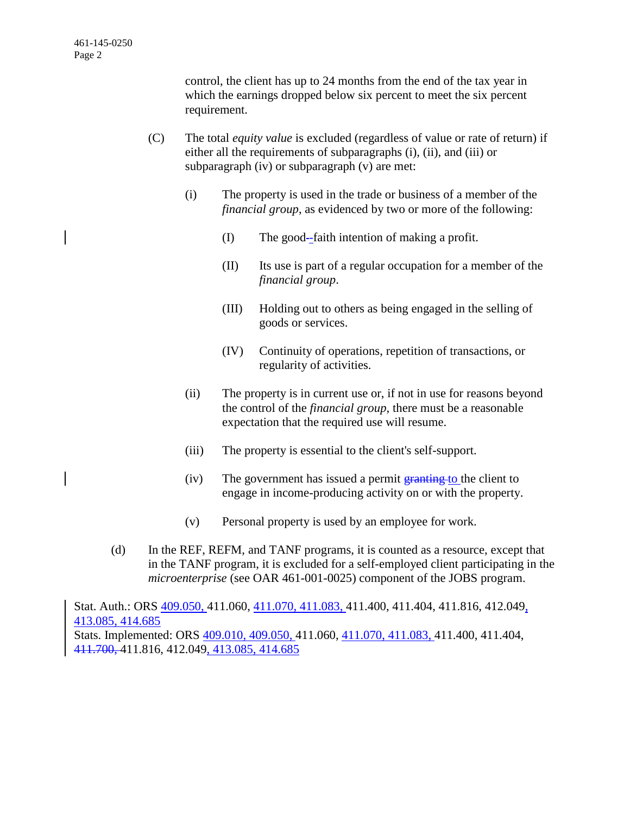control, the client has up to 24 months from the end of the tax year in which the earnings dropped below six percent to meet the six percent requirement.

- (C) The total *equity value* is excluded (regardless of value or rate of return) if either all the requirements of subparagraphs (i), (ii), and (iii) or subparagraph (iv) or subparagraph (v) are met:
	- (i) The property is used in the trade or business of a member of the *financial group*, as evidenced by two or more of the following:
		- (I) The good -faith intention of making a profit.
		- (II) Its use is part of a regular occupation for a member of the *financial group*.
		- (III) Holding out to others as being engaged in the selling of goods or services.
		- (IV) Continuity of operations, repetition of transactions, or regularity of activities.
	- (ii) The property is in current use or, if not in use for reasons beyond the control of the *financial group*, there must be a reasonable expectation that the required use will resume.
	- (iii) The property is essential to the client's self-support.
	- $(iv)$  The government has issued a permit  $\frac{1}{2}$  The client to engage in income-producing activity on or with the property.
	- (v) Personal property is used by an employee for work.
- (d) In the REF, REFM, and TANF programs, it is counted as a resource, except that in the TANF program, it is excluded for a self-employed client participating in the *microenterprise* (see OAR 461-001-0025) component of the JOBS program.

Stat. Auth.: ORS 409.050, 411.060, 411.070, 411.083, 411.400, 411.404, 411.816, 412.049, 413.085, 414.685 Stats. Implemented: ORS 409.010, 409.050, 411.060, 411.070, 411.083, 411.400, 411.404, 411.700, 411.816, 412.049, 413.085, 414.685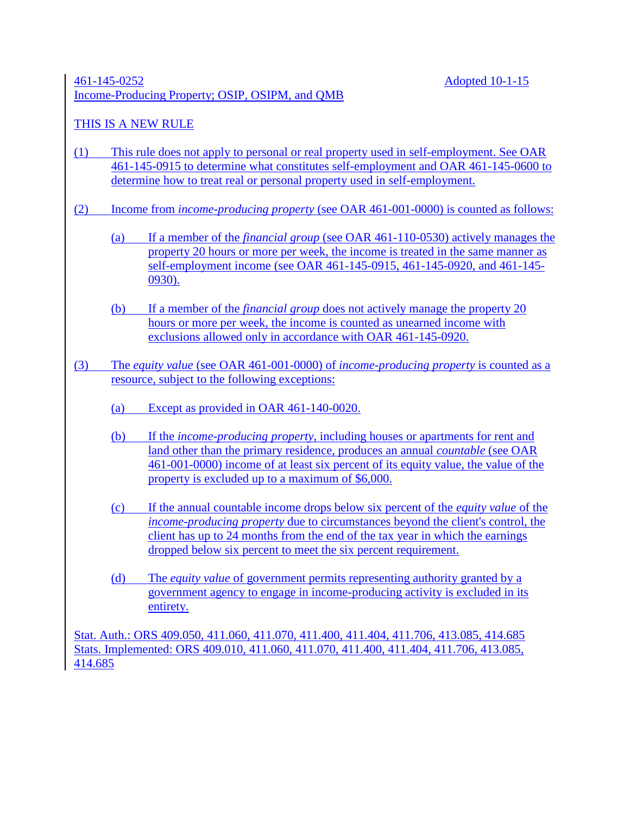## 461-145-0252 Adopted 10-1-15 Income-Producing Property; OSIP, OSIPM, and QMB

## THIS IS A NEW RULE

- (1) This rule does not apply to personal or real property used in self-employment. See OAR 461-145-0915 to determine what constitutes self-employment and OAR 461-145-0600 to determine how to treat real or personal property used in self-employment.
- (2) Income from *income-producing property* (see OAR 461-001-0000) is counted as follows:
	- (a) If a member of the *financial group* (see OAR 461-110-0530) actively manages the property 20 hours or more per week, the income is treated in the same manner as self-employment income (see OAR 461-145-0915, 461-145-0920, and 461-145- 0930).
	- (b) If a member of the *financial group* does not actively manage the property 20 hours or more per week, the income is counted as unearned income with exclusions allowed only in accordance with OAR 461-145-0920.
- (3) The *equity value* (see OAR 461-001-0000) of *income-producing property* is counted as a resource, subject to the following exceptions:
	- (a) Except as provided in OAR 461-140-0020.
	- (b) If the *income-producing property*, including houses or apartments for rent and land other than the primary residence, produces an annual *countable* (see OAR 461-001-0000) income of at least six percent of its equity value, the value of the property is excluded up to a maximum of \$6,000.
	- (c) If the annual countable income drops below six percent of the *equity value* of the *income-producing property* due to circumstances beyond the client's control, the client has up to 24 months from the end of the tax year in which the earnings dropped below six percent to meet the six percent requirement.
	- (d) The *equity value* of government permits representing authority granted by a government agency to engage in income-producing activity is excluded in its entirety.

Stat. Auth.: ORS 409.050, 411.060, 411.070, 411.400, 411.404, 411.706, 413.085, 414.685 Stats. Implemented: ORS 409.010, 411.060, 411.070, 411.400, 411.404, 411.706, 413.085, 414.685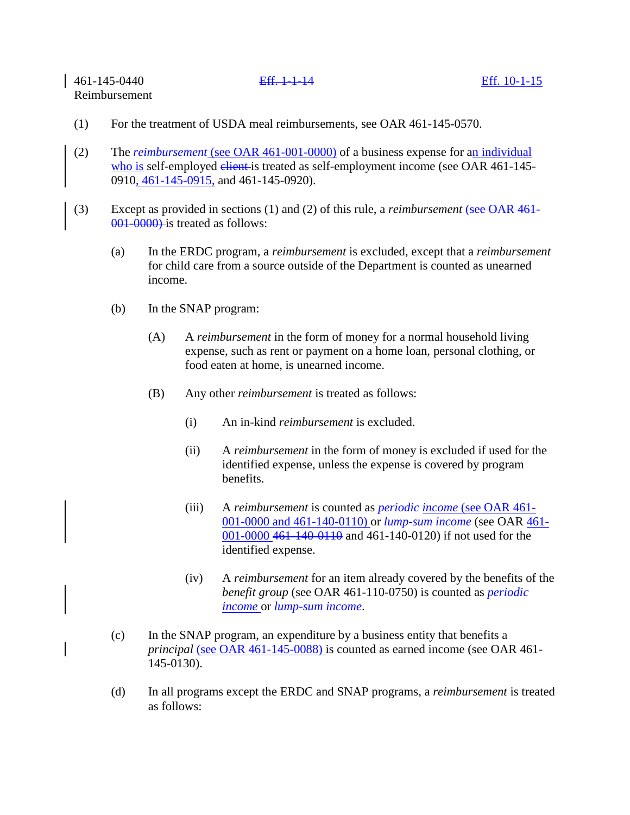- (1) For the treatment of USDA meal reimbursements, see OAR 461-145-0570.
- (2) The *reimbursement* (see OAR 461-001-0000) of a business expense for an individual who is self-employed elient is treated as self-employment income (see OAR 461-145-0910, 461-145-0915, and 461-145-0920).
- (3) Except as provided in sections (1) and (2) of this rule, a *reimbursement* (see OAR 461- 001-0000) is treated as follows:
	- (a) In the ERDC program, a *reimbursement* is excluded, except that a *reimbursement* for child care from a source outside of the Department is counted as unearned income.
	- (b) In the SNAP program:
		- (A) A *reimbursement* in the form of money for a normal household living expense, such as rent or payment on a home loan, personal clothing, or food eaten at home, is unearned income.
		- (B) Any other *reimbursement* is treated as follows:
			- (i) An in-kind *reimbursement* is excluded.
			- (ii) A *reimbursement* in the form of money is excluded if used for the identified expense, unless the expense is covered by program benefits.
			- (iii) A *reimbursement* is counted as *periodic income* (see OAR 461- 001-0000 and 461-140-0110) or *lump-sum income* (see OAR 461- 001-0000 461-140-0110 and 461-140-0120) if not used for the identified expense.
			- (iv) A *reimbursement* for an item already covered by the benefits of the *benefit group* (see OAR 461-110-0750) is counted as *periodic income* or *lump-sum income*.
	- (c) In the SNAP program, an expenditure by a business entity that benefits a *principal* (see OAR 461-145-0088) is counted as earned income (see OAR 461- 145-0130).
	- (d) In all programs except the ERDC and SNAP programs, a *reimbursement* is treated as follows: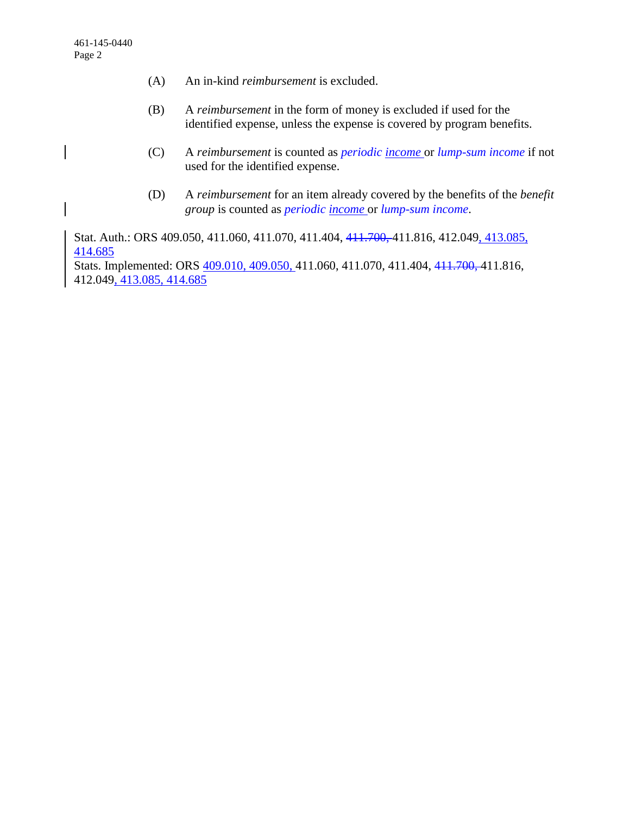- (A) An in-kind *reimbursement* is excluded.
- (B) A *reimbursement* in the form of money is excluded if used for the identified expense, unless the expense is covered by program benefits.
- (C) A *reimbursement* is counted as *periodic income* or *lump-sum income* if not used for the identified expense.
- (D) A *reimbursement* for an item already covered by the benefits of the *benefit group* is counted as *periodic income* or *lump-sum income*.

Stat. Auth.: ORS 409.050, 411.060, 411.070, 411.404, 411.700, 411.816, 412.049, 413.085, 414.685

Stats. Implemented: ORS 409.010, 409.050, 411.060, 411.070, 411.404, 411.700, 411.816, 412.049, 413.085, 414.685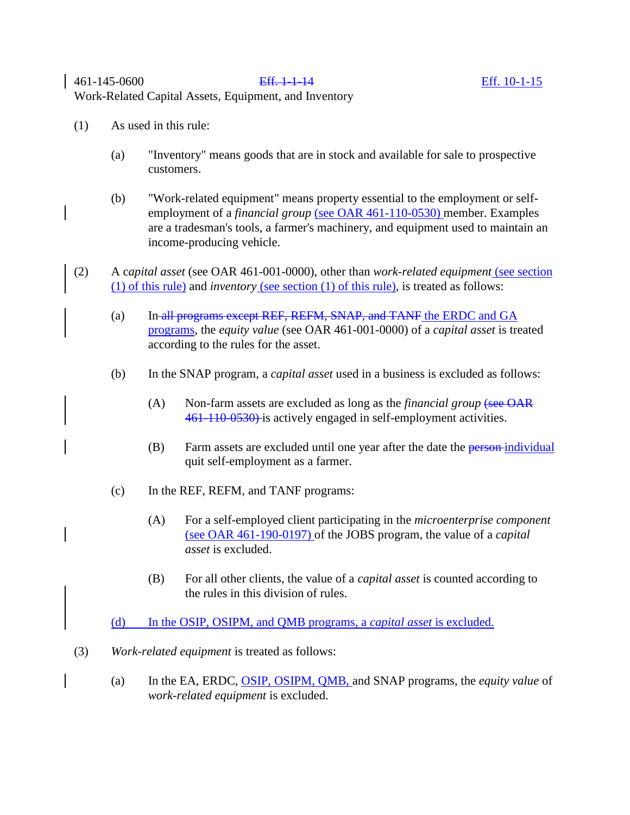- (1) As used in this rule:
	- (a) "Inventory" means goods that are in stock and available for sale to prospective customers.
	- (b) "Work-related equipment" means property essential to the employment or selfemployment of a *financial group* (see OAR 461-110-0530) member. Examples are a tradesman's tools, a farmer's machinery, and equipment used to maintain an income-producing vehicle.
- (2) A c*apital asset* (see OAR 461-001-0000), other than *work-related equipment* (see section (1) of this rule) and *inventory* (see section (1) of this rule), is treated as follows:
	- (a) In all programs except REF, REFM, SNAP, and TANF the ERDC and GA programs, the *equity value* (see OAR 461-001-0000) of a *capital asset* is treated according to the rules for the asset.
	- (b) In the SNAP program, a *capital asset* used in a business is excluded as follows:
		- (A) Non-farm assets are excluded as long as the *financial group* (see OAR 461-110-0530) is actively engaged in self-employment activities.
		- (B) Farm assets are excluded until one year after the date the person-individual quit self-employment as a farmer.
	- (c) In the REF, REFM, and TANF programs:
		- (A) For a self-employed client participating in the *microenterprise component* (see OAR 461-190-0197) of the JOBS program, the value of a *capital asset* is excluded.
		- (B) For all other clients, the value of a *capital asset* is counted according to the rules in this division of rules.

(d) In the OSIP, OSIPM, and QMB programs, a *capital asset* is excluded.

- (3) *Work-related equipment* is treated as follows:
	- (a) In the EA, ERDC, OSIP, OSIPM, QMB, and SNAP programs, the *equity value* of *work-related equipment* is excluded.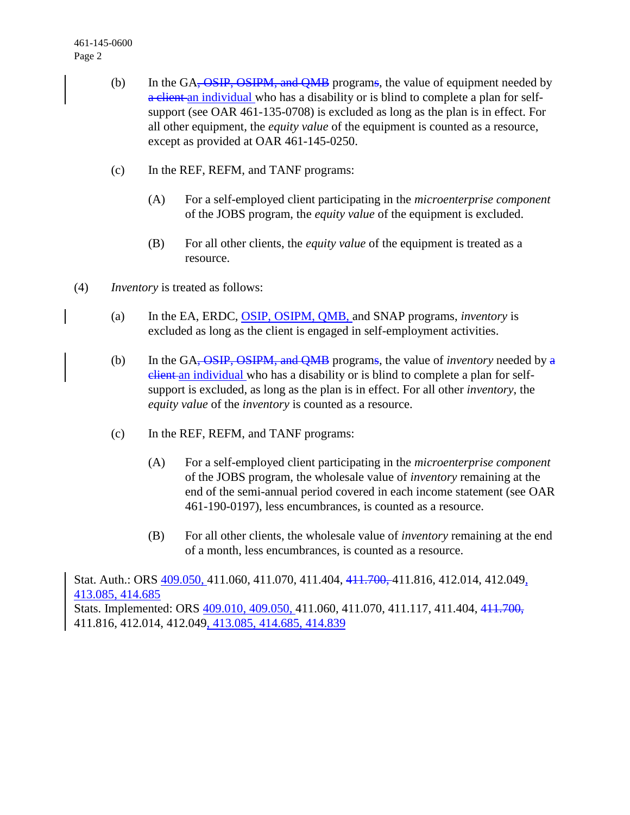- (b) In the GA<del>, OSIP, OSIPM, and QMB</del> programs, the value of equipment needed by a client an individual who has a disability or is blind to complete a plan for selfsupport (see OAR 461-135-0708) is excluded as long as the plan is in effect. For all other equipment, the *equity value* of the equipment is counted as a resource, except as provided at OAR 461-145-0250.
- (c) In the REF, REFM, and TANF programs:
	- (A) For a self-employed client participating in the *microenterprise component* of the JOBS program, the *equity value* of the equipment is excluded.
	- (B) For all other clients, the *equity value* of the equipment is treated as a resource.
- (4) *Inventory* is treated as follows:
	- (a) In the EA, ERDC, OSIP, OSIPM, QMB, and SNAP programs, *inventory* is excluded as long as the client is engaged in self-employment activities.
	- (b) In the GA, OSIP, OSIPM, and QMB programs, the value of *inventory* needed by a elient an individual who has a disability or is blind to complete a plan for selfsupport is excluded, as long as the plan is in effect. For all other *inventory*, the *equity value* of the *inventory* is counted as a resource.
	- (c) In the REF, REFM, and TANF programs:
		- (A) For a self-employed client participating in the *microenterprise component* of the JOBS program, the wholesale value of *inventory* remaining at the end of the semi-annual period covered in each income statement (see OAR 461-190-0197), less encumbrances, is counted as a resource.
		- (B) For all other clients, the wholesale value of *inventory* remaining at the end of a month, less encumbrances, is counted as a resource.

Stat. Auth.: ORS 409.050, 411.060, 411.070, 411.404, 411.700, 411.816, 412.014, 412.049, 413.085, 414.685 Stats. Implemented: ORS 409.010, 409.050, 411.060, 411.070, 411.117, 411.404, 411.700, 411.816, 412.014, 412.049, 413.085, 414.685, 414.839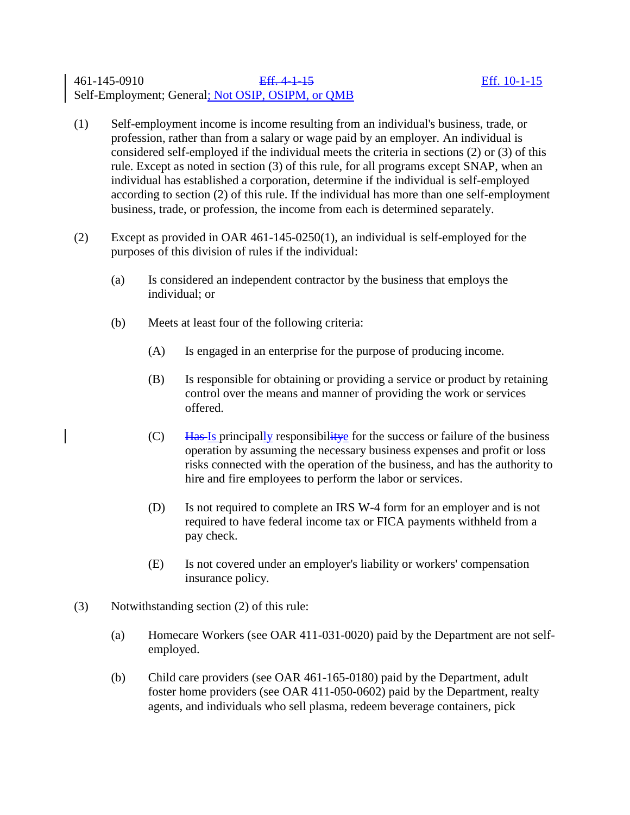## 461-145-0910 Eff. 4-1-15 Eff. 10-1-15 Self-Employment; General; Not OSIP, OSIPM, or QMB

- (1) Self-employment income is income resulting from an individual's business, trade, or profession, rather than from a salary or wage paid by an employer. An individual is considered self-employed if the individual meets the criteria in sections (2) or (3) of this rule. Except as noted in section (3) of this rule, for all programs except SNAP, when an individual has established a corporation, determine if the individual is self-employed according to section (2) of this rule. If the individual has more than one self-employment business, trade, or profession, the income from each is determined separately.
- (2) Except as provided in OAR 461-145-0250(1), an individual is self-employed for the purposes of this division of rules if the individual:
	- (a) Is considered an independent contractor by the business that employs the individual; or
	- (b) Meets at least four of the following criteria:
		- (A) Is engaged in an enterprise for the purpose of producing income.
		- (B) Is responsible for obtaining or providing a service or product by retaining control over the means and manner of providing the work or services offered.
		- $(C)$  Has Is principally responsibility effect the success or failure of the business operation by assuming the necessary business expenses and profit or loss risks connected with the operation of the business, and has the authority to hire and fire employees to perform the labor or services.
		- (D) Is not required to complete an IRS W-4 form for an employer and is not required to have federal income tax or FICA payments withheld from a pay check.
		- (E) Is not covered under an employer's liability or workers' compensation insurance policy.
- (3) Notwithstanding section (2) of this rule:
	- (a) Homecare Workers (see OAR 411-031-0020) paid by the Department are not selfemployed.
	- (b) Child care providers (see OAR 461-165-0180) paid by the Department, adult foster home providers (see OAR 411-050-0602) paid by the Department, realty agents, and individuals who sell plasma, redeem beverage containers, pick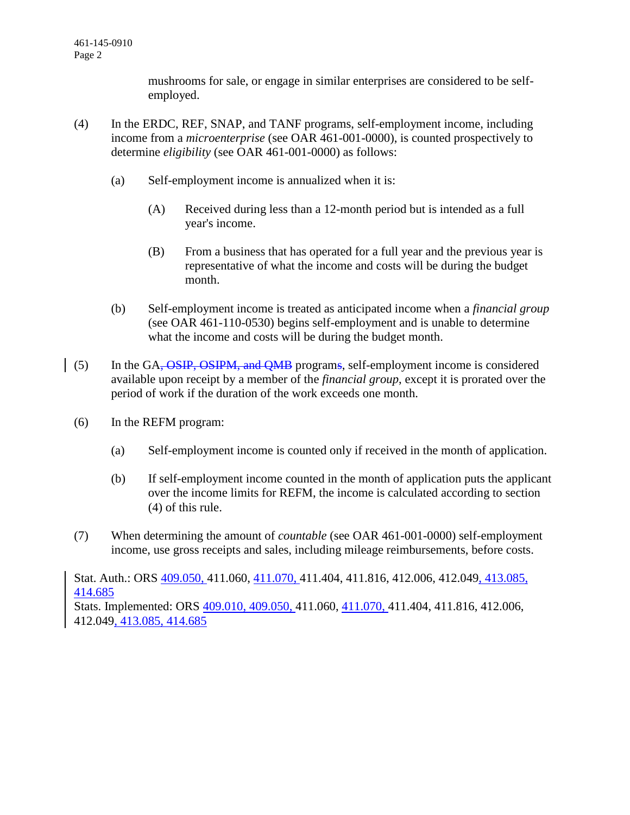mushrooms for sale, or engage in similar enterprises are considered to be selfemployed.

- (4) In the ERDC, REF, SNAP, and TANF programs, self-employment income, including income from a *microenterprise* (see OAR 461-001-0000), is counted prospectively to determine *eligibility* (see OAR 461-001-0000) as follows:
	- (a) Self-employment income is annualized when it is:
		- (A) Received during less than a 12-month period but is intended as a full year's income.
		- (B) From a business that has operated for a full year and the previous year is representative of what the income and costs will be during the budget month.
	- (b) Self-employment income is treated as anticipated income when a *financial group* (see OAR 461-110-0530) begins self-employment and is unable to determine what the income and costs will be during the budget month.
- (5) In the GA<del>, OSIP, OSIPM, and QMB</del> programs, self-employment income is considered available upon receipt by a member of the *financial group*, except it is prorated over the period of work if the duration of the work exceeds one month.
	- (6) In the REFM program:
		- (a) Self-employment income is counted only if received in the month of application.
		- (b) If self-employment income counted in the month of application puts the applicant over the income limits for REFM, the income is calculated according to section (4) of this rule.
	- (7) When determining the amount of *countable* (see OAR 461-001-0000) self-employment income, use gross receipts and sales, including mileage reimbursements, before costs.

Stat. Auth.: ORS 409.050, 411.060, 411.070, 411.404, 411.816, 412.006, 412.049, 413.085, 414.685

Stats. Implemented: ORS 409.010, 409.050, 411.060, 411.070, 411.404, 411.816, 412.006, 412.049, 413.085, 414.685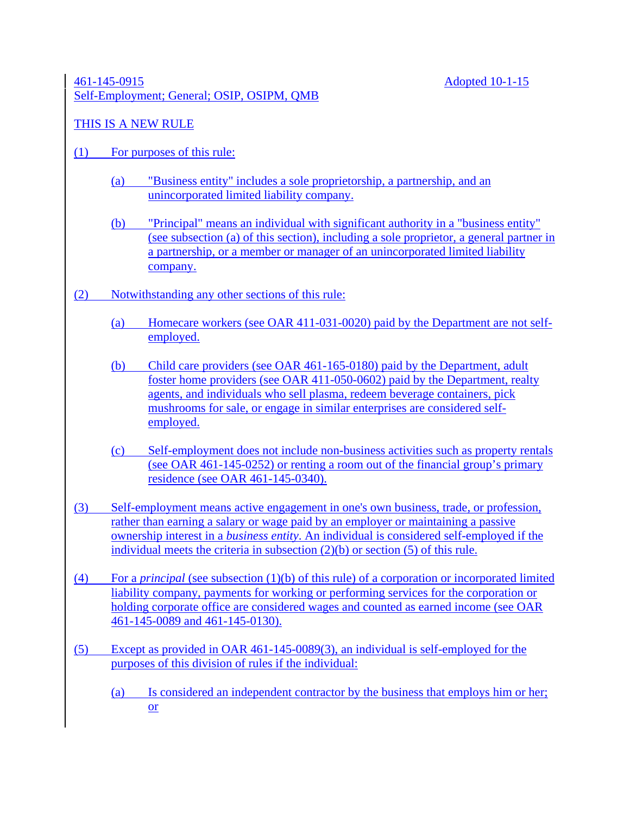## 461-145-0915 Adopted 10-1-15 Self-Employment; General; OSIP, OSIPM, QMB

# THIS IS A NEW RULE

- (1) For purposes of this rule:
	- (a) "Business entity" includes a sole proprietorship, a partnership, and an unincorporated limited liability company.
	- (b) "Principal" means an individual with significant authority in a "business entity" (see subsection (a) of this section), including a sole proprietor, a general partner in a partnership, or a member or manager of an unincorporated limited liability company.
- (2) Notwithstanding any other sections of this rule:
	- (a) Homecare workers (see OAR 411-031-0020) paid by the Department are not selfemployed.
	- (b) Child care providers (see OAR 461-165-0180) paid by the Department, adult foster home providers (see OAR 411-050-0602) paid by the Department, realty agents, and individuals who sell plasma, redeem beverage containers, pick mushrooms for sale, or engage in similar enterprises are considered selfemployed.
	- (c) Self-employment does not include non-business activities such as property rentals (see OAR 461-145-0252) or renting a room out of the financial group's primary residence (see OAR 461-145-0340).
- (3) Self-employment means active engagement in one's own business, trade, or profession, rather than earning a salary or wage paid by an employer or maintaining a passive ownership interest in a *business entity*. An individual is considered self-employed if the individual meets the criteria in subsection (2)(b) or section (5) of this rule.
- (4) For a *principal* (see subsection (1)(b) of this rule) of a corporation or incorporated limited liability company, payments for working or performing services for the corporation or holding corporate office are considered wages and counted as earned income (see OAR 461-145-0089 and 461-145-0130).
- (5) Except as provided in OAR 461-145-0089(3), an individual is self-employed for the purposes of this division of rules if the individual:
	- (a) Is considered an independent contractor by the business that employs him or her; or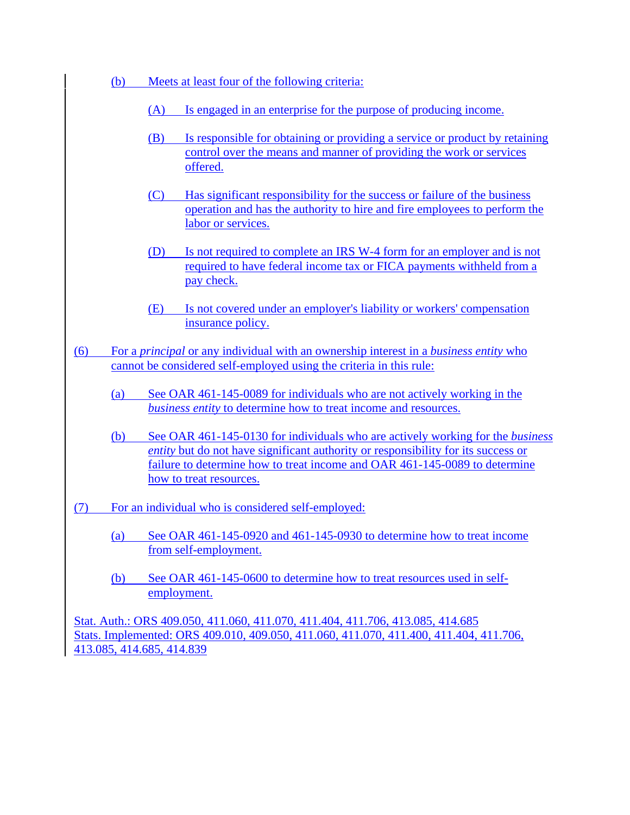- (b) Meets at least four of the following criteria:
	- (A) Is engaged in an enterprise for the purpose of producing income.
	- (B) Is responsible for obtaining or providing a service or product by retaining control over the means and manner of providing the work or services offered.
	- (C) Has significant responsibility for the success or failure of the business operation and has the authority to hire and fire employees to perform the labor or services.
	- (D) Is not required to complete an IRS W-4 form for an employer and is not required to have federal income tax or FICA payments withheld from a pay check.
	- (E) Is not covered under an employer's liability or workers' compensation insurance policy.
- (6) For a *principal* or any individual with an ownership interest in a *business entity* who cannot be considered self-employed using the criteria in this rule:
	- (a) See OAR 461-145-0089 for individuals who are not actively working in the *business entity* to determine how to treat income and resources.
	- (b) See OAR 461-145-0130 for individuals who are actively working for the *business entity* but do not have significant authority or responsibility for its success or failure to determine how to treat income and OAR 461-145-0089 to determine how to treat resources.
- (7) For an individual who is considered self-employed:
	- (a) See OAR 461-145-0920 and 461-145-0930 to determine how to treat income from self-employment.
	- (b) See OAR 461-145-0600 to determine how to treat resources used in selfemployment.

Stat. Auth.: ORS 409.050, 411.060, 411.070, 411.404, 411.706, 413.085, 414.685 Stats. Implemented: ORS 409.010, 409.050, 411.060, 411.070, 411.400, 411.404, 411.706, 413.085, 414.685, 414.839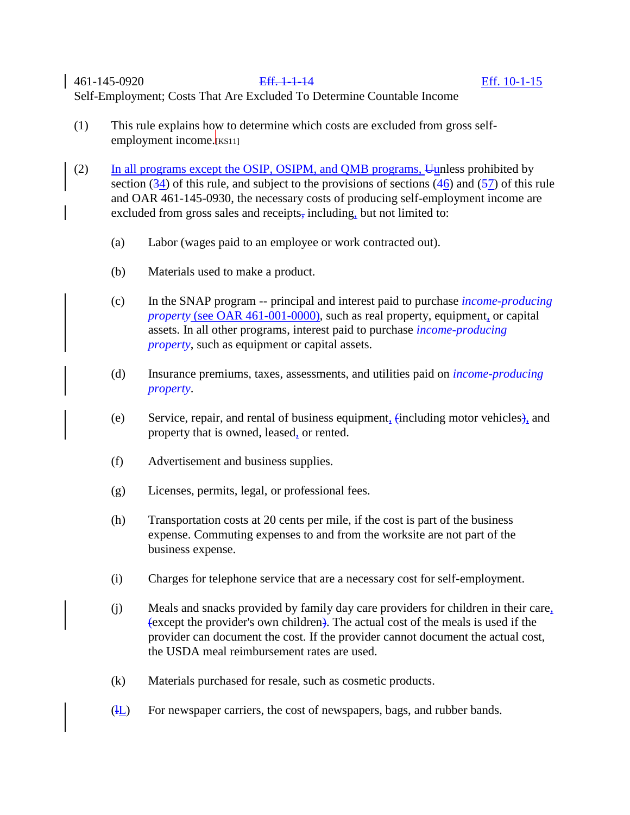461-145-0920 Eff. 1-1-14 Eff. 10-1-15 Self-Employment; Costs That Are Excluded To Determine Countable Income

- (1) This rule explains how to determine which costs are excluded from gross selfemployment income.[KS11]
- (2) In all programs except the OSIP, OSIPM, and QMB programs,  $\overline{u}$  Unless prohibited by section  $(34)$  of this rule, and subject to the provisions of sections  $(46)$  and  $(57)$  of this rule and OAR 461-145-0930, the necessary costs of producing self-employment income are excluded from gross sales and receipts, including, but not limited to:
	- (a) Labor (wages paid to an employee or work contracted out).
	- (b) Materials used to make a product.
	- (c) In the SNAP program -- principal and interest paid to purchase *income-producing property* (see OAR 461-001-0000), such as real property, equipment, or capital assets. In all other programs, interest paid to purchase *income-producing property*, such as equipment or capital assets.
	- (d) Insurance premiums, taxes, assessments, and utilities paid on *income-producing property*.
	- (e) Service, repair, and rental of business equipment, (including motor vehicles), and property that is owned, leased, or rented.
	- (f) Advertisement and business supplies.
	- (g) Licenses, permits, legal, or professional fees.
	- (h) Transportation costs at 20 cents per mile, if the cost is part of the business expense. Commuting expenses to and from the worksite are not part of the business expense.
	- (i) Charges for telephone service that are a necessary cost for self-employment.
	- (j) Meals and snacks provided by family day care providers for children in their care, (except the provider's own children). The actual cost of the meals is used if the provider can document the cost. If the provider cannot document the actual cost, the USDA meal reimbursement rates are used.
	- (k) Materials purchased for resale, such as cosmetic products.
	- (lL) For newspaper carriers, the cost of newspapers, bags, and rubber bands.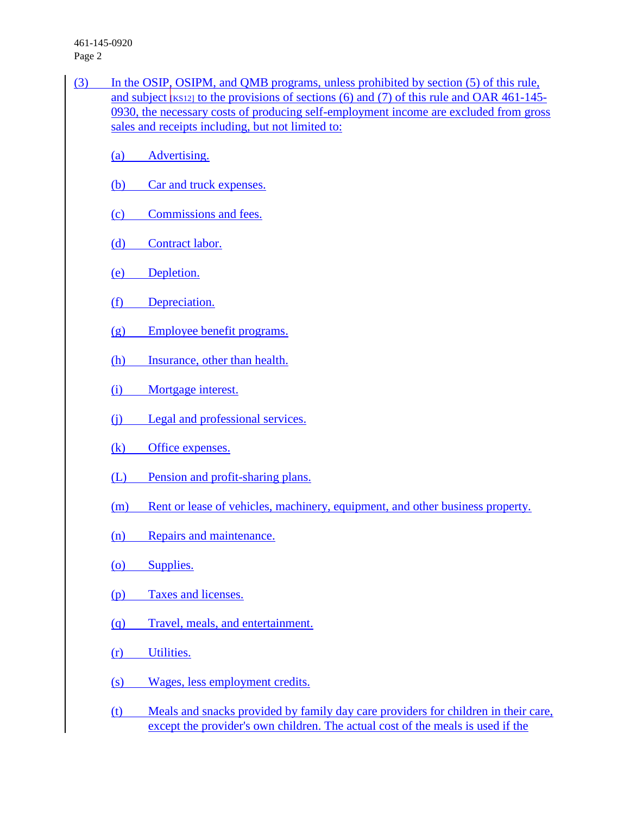461-145-0920 Page 2

- (3) In the OSIP, OSIPM, and QMB programs, unless prohibited by section (5) of this rule, and subject  $\kappa$ <sub>KS12]</sub> to the provisions of sections (6) and (7) of this rule and OAR [461-145-](http://dhsmanuals.hr.state.or.us/A/461-145-0930.htm) [0930,](http://dhsmanuals.hr.state.or.us/A/461-145-0930.htm) the necessary costs of producing self-employment income are excluded from gross sales and receipts including, but not limited to:
	- (a) Advertising.
	- (b) Car and truck expenses.
	- (c) Commissions and fees.
	- (d) Contract labor.
	- (e) Depletion.
	- (f) Depreciation.
	- (g) Employee benefit programs.
	- (h) Insurance, other than health.
	- (i) Mortgage interest.
	- (j) Legal and professional services.
	- (k) Office expenses.
	- (L) Pension and profit-sharing plans.
	- (m) Rent or lease of vehicles, machinery, equipment, and other business property.
	- (n) Repairs and maintenance.
	- (o) Supplies.
	- (p) Taxes and licenses.
	- (q) Travel, meals, and entertainment.
	- (r) Utilities.
	- (s) Wages, less employment credits.
	- (t) Meals and snacks provided by family day care providers for children in their care, except the provider's own children. The actual cost of the meals is used if the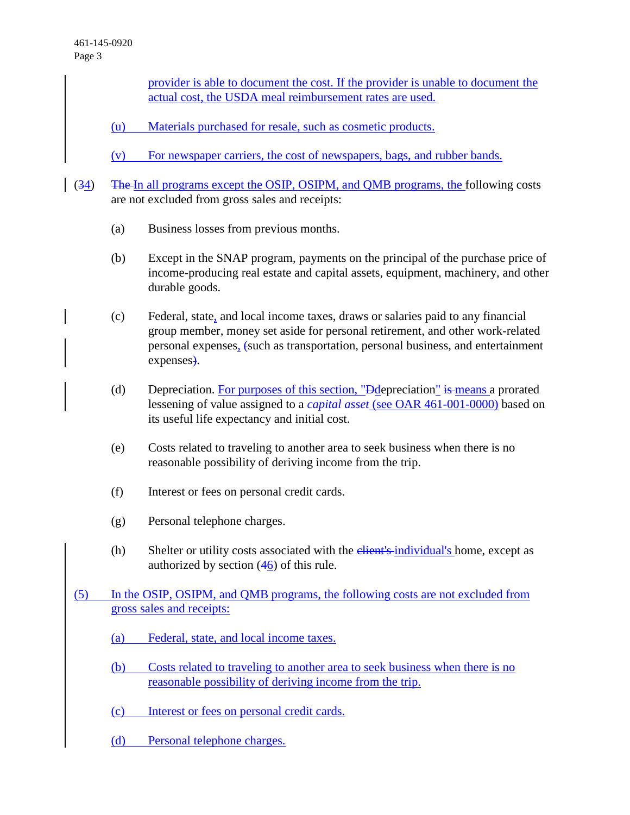provider is able to document the cost. If the provider is unable to document the actual cost, the USDA meal reimbursement rates are used.

- (u) Materials purchased for resale, such as cosmetic products.
- (v) For newspaper carriers, the cost of newspapers, bags, and rubber bands.
- (34) The In all programs except the OSIP, OSIPM, and QMB programs, the following costs are not excluded from gross sales and receipts:
	- (a) Business losses from previous months.
	- (b) Except in the SNAP program, payments on the principal of the purchase price of income-producing real estate and capital assets, equipment, machinery, and other durable goods.
	- (c) Federal, state, and local income taxes, draws or salaries paid to any financial group member, money set aside for personal retirement, and other work-related personal expenses, (such as transportation, personal business, and entertainment expenses).
	- (d) Depreciation. For purposes of this section, " $\frac{1}{2}$  Depreciation" is means a prorated lessening of value assigned to a *capital asset* (see OAR 461-001-0000) based on its useful life expectancy and initial cost.
	- (e) Costs related to traveling to another area to seek business when there is no reasonable possibility of deriving income from the trip.
	- (f) Interest or fees on personal credit cards.
	- (g) Personal telephone charges.
	- $(h)$  Shelter or utility costs associated with the  $\frac{e^{\frac{h}{2}}}{h}$  individual's home, except as authorized by section (46) of this rule.
- (5) In the OSIP, OSIPM, and QMB programs, the following costs are not excluded from gross sales and receipts:
	- (a) Federal, state, and local income taxes.
	- (b) Costs related to traveling to another area to seek business when there is no reasonable possibility of deriving income from the trip.
	- (c) Interest or fees on personal credit cards.
	- (d) Personal telephone charges.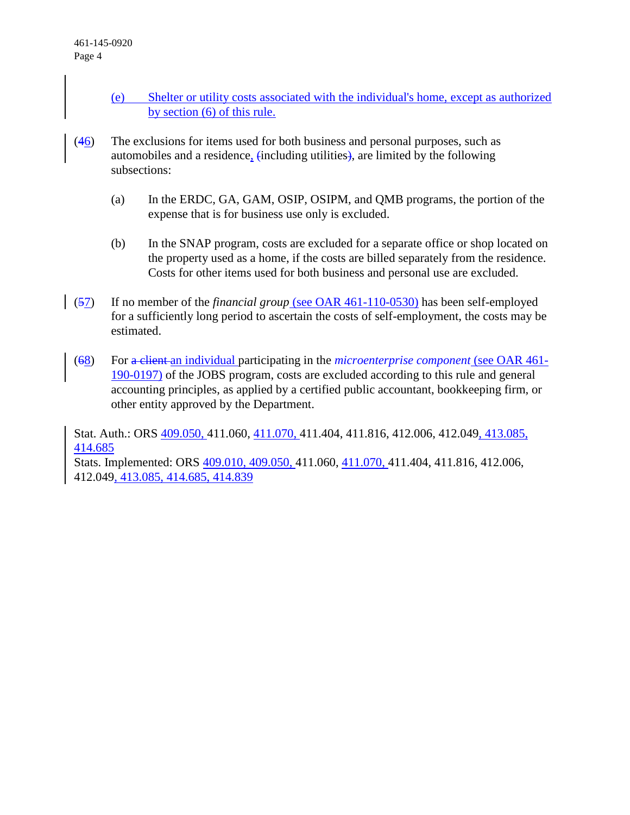- (e) Shelter or utility costs associated with the individual's home, except as authorized by section (6) of this rule.
- $(46)$  The exclusions for items used for both business and personal purposes, such as automobiles and a residence, (including utilities), are limited by the following subsections:
	- (a) In the ERDC, GA, GAM, OSIP, OSIPM, and QMB programs, the portion of the expense that is for business use only is excluded.
	- (b) In the SNAP program, costs are excluded for a separate office or shop located on the property used as a home, if the costs are billed separately from the residence. Costs for other items used for both business and personal use are excluded.
- (57) If no member of the *financial group* (see OAR 461-110-0530) has been self-employed for a sufficiently long period to ascertain the costs of self-employment, the costs may be estimated.
	- (68) For a client an individual participating in the *microenterprise component* (see OAR 461- 190-0197) of the JOBS program, costs are excluded according to this rule and general accounting principles, as applied by a certified public accountant, bookkeeping firm, or other entity approved by the Department.

Stat. Auth.: ORS 409.050, 411.060, 411.070, 411.404, 411.816, 412.006, 412.049, 413.085, 414.685

Stats. Implemented: ORS 409.010, 409.050, 411.060, 411.070, 411.404, 411.816, 412.006, 412.049, 413.085, 414.685, 414.839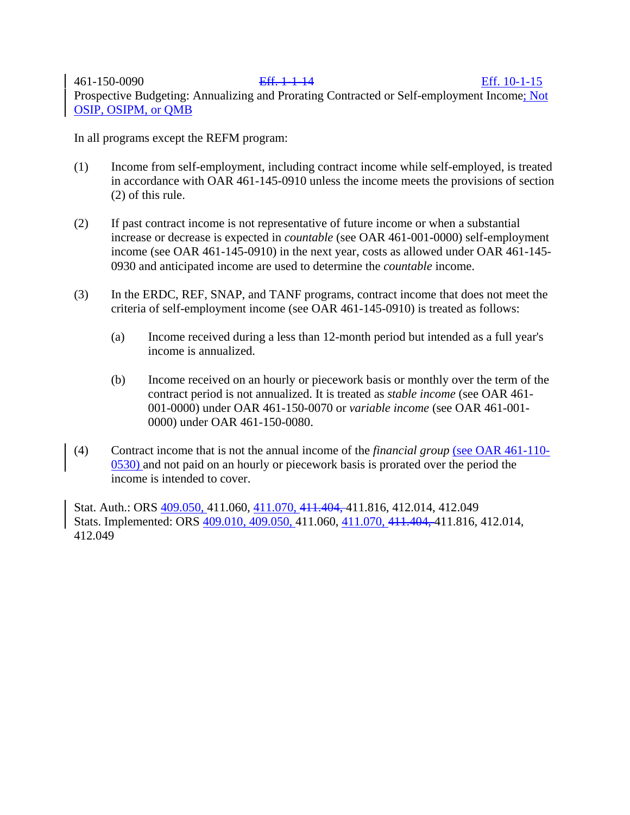461-150-0090 Eff. 1-1-14 Eff. 10-1-15 Prospective Budgeting: Annualizing and Prorating Contracted or Self-employment Income; Not OSIP, OSIPM, or QMB

In all programs except the REFM program:

- (1) Income from self-employment, including contract income while self-employed, is treated in accordance with OAR 461-145-0910 unless the income meets the provisions of section (2) of this rule.
- (2) If past contract income is not representative of future income or when a substantial increase or decrease is expected in *countable* (see OAR 461-001-0000) self-employment income (see OAR 461-145-0910) in the next year, costs as allowed under OAR 461-145- 0930 and anticipated income are used to determine the *countable* income.
- (3) In the ERDC, REF, SNAP, and TANF programs, contract income that does not meet the criteria of self-employment income (see OAR 461-145-0910) is treated as follows:
	- (a) Income received during a less than 12-month period but intended as a full year's income is annualized.
	- (b) Income received on an hourly or piecework basis or monthly over the term of the contract period is not annualized. It is treated as *stable income* (see OAR 461- 001-0000) under OAR 461-150-0070 or *variable income* (see OAR 461-001- 0000) under OAR 461-150-0080.
- (4) Contract income that is not the annual income of the *financial group* (see OAR 461-110- 0530) and not paid on an hourly or piecework basis is prorated over the period the income is intended to cover.

Stat. Auth.: ORS 409.050, 411.060, 411.070, 411.404, 411.816, 412.014, 412.049 Stats. Implemented: ORS 409.010, 409.050, 411.060, 411.070, 411.404, 411.816, 412.014, 412.049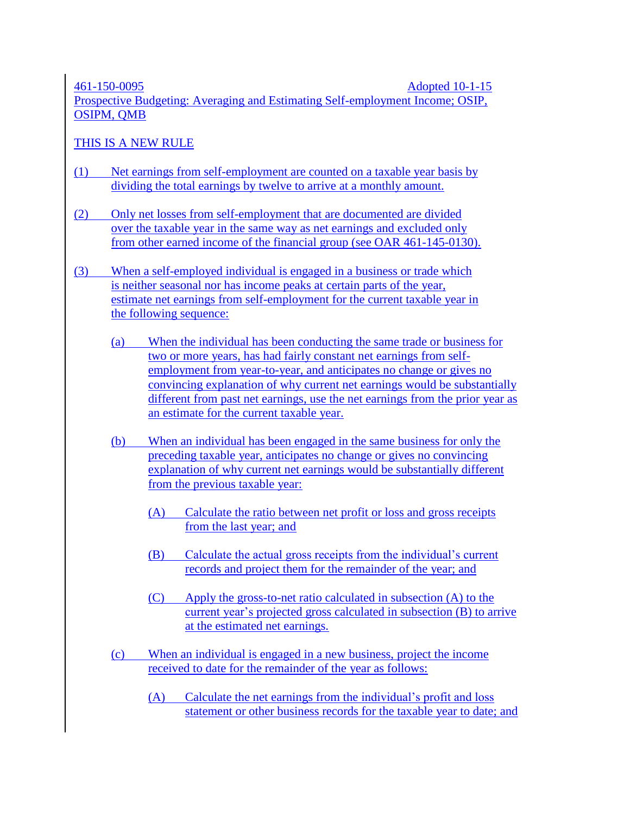461-150-0095 Adopted 10-1-15

Prospective Budgeting: Averaging and Estimating Self-employment Income; OSIP, OSIPM, QMB

# THIS IS A NEW RULE

- (1) Net earnings from self-employment are counted on a taxable year basis by dividing the total earnings by twelve to arrive at a monthly amount.
- (2) Only net losses from self-employment that are documented are divided over the taxable year in the same way as net earnings and excluded only from other earned income of the financial group (see OAR [461-145-0130\)](http://apps.state.or.us/caf/arm/A/461-145-0130.htm).
- (3) When a self-employed individual is engaged in a business or trade which is neither seasonal nor has income peaks at certain parts of the year, estimate net earnings from self-employment for the current taxable year in the following sequence:
	- (a) When the individual has been conducting the same trade or business for two or more years, has had fairly constant net earnings from selfemployment from year-to-year, and anticipates no change or gives no convincing explanation of why current net earnings would be substantially different from past net earnings, use the net earnings from the prior year as an estimate for the current taxable year.
	- (b) When an individual has been engaged in the same business for only the preceding taxable year, anticipates no change or gives no convincing explanation of why current net earnings would be substantially different from the previous taxable year:
		- (A) Calculate the ratio between net profit or loss and gross receipts from the last year; and
		- (B) Calculate the actual gross receipts from the individual's current records and project them for the remainder of the year; and
		- (C) Apply the gross-to-net ratio calculated in subsection (A) to the current year's projected gross calculated in subsection (B) to arrive at the estimated net earnings.
	- (c) When an individual is engaged in a new business, project the income received to date for the remainder of the year as follows:
		- (A) Calculate the net earnings from the individual's profit and loss statement or other business records for the taxable year to date; and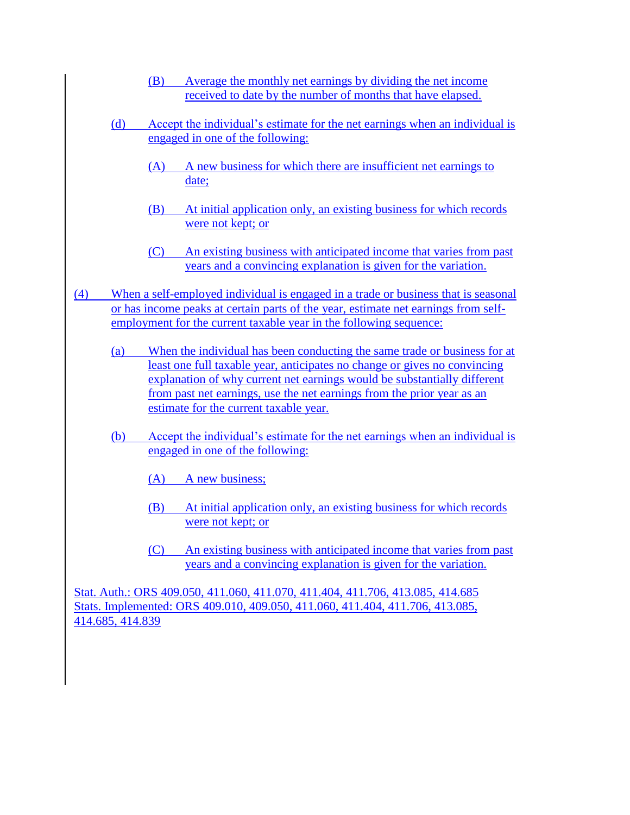- (B) Average the monthly net earnings by dividing the net income received to date by the number of months that have elapsed.
- (d) Accept the individual's estimate for the net earnings when an individual is engaged in one of the following:
	- (A) A new business for which there are insufficient net earnings to date;
	- (B) At initial application only, an existing business for which records were not kept; or
	- (C) An existing business with anticipated income that varies from past years and a convincing explanation is given for the variation.
- (4) When a self-employed individual is engaged in a trade or business that is seasonal or has income peaks at certain parts of the year, estimate net earnings from selfemployment for the current taxable year in the following sequence:
	- (a) When the individual has been conducting the same trade or business for at least one full taxable year, anticipates no change or gives no convincing explanation of why current net earnings would be substantially different from past net earnings, use the net earnings from the prior year as an estimate for the current taxable year.
	- (b) Accept the individual's estimate for the net earnings when an individual is engaged in one of the following:
		- (A) A new business;
		- (B) At initial application only, an existing business for which records were not kept; or
		- (C) An existing business with anticipated income that varies from past years and a convincing explanation is given for the variation.

Stat. Auth.: ORS 409.050, 411.060, 411.070, 411.404, 411.706, 413.085, 414.685 Stats. Implemented: ORS 409.010, 409.050, 411.060, 411.404, 411.706, 413.085, 414.685, 414.839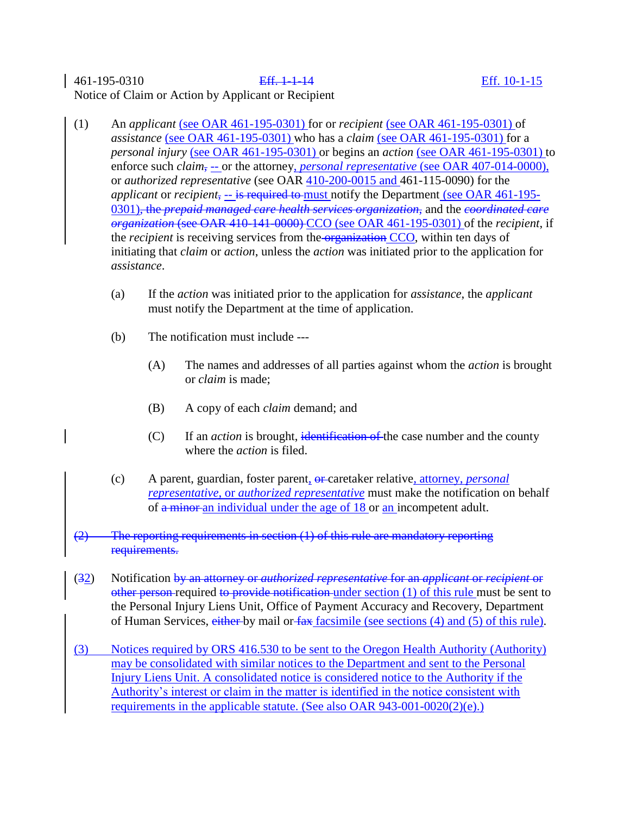## 461-195-0310 Eff. 1-1-14 Eff. 10-1-15 Notice of Claim or Action by Applicant or Recipient

- (1) An *applicant* (see OAR 461-195-0301) for or *recipient* (see OAR 461-195-0301) of *assistance* (see OAR 461-195-0301) who has a *claim* (see OAR 461-195-0301) for a *personal injury* (see OAR 461-195-0301) or begins an *action* (see OAR 461-195-0301) to enforce such *claim*, -- or the attorney, *personal representative* (see OAR 407-014-0000), or *authorized representative* (see OAR 410-200-0015 and 461-115-0090) for the *applicant* or *recipient*, -- is required to must notify the Department (see OAR 461-195- 0301), the *prepaid managed care health services organization*, and the *coordinated care organization* (see OAR 410-141-0000) CCO (see OAR 461-195-0301) of the *recipient*, if the *recipient* is receiving services from the organization CCO, within ten days of initiating that *claim* or *action*, unless the *action* was initiated prior to the application for *assistance*.
	- (a) If the *action* was initiated prior to the application for *assistance*, the *applicant* must notify the Department at the time of application.
	- (b) The notification must include ---
		- (A) The names and addresses of all parties against whom the *action* is brought or *claim* is made;
		- (B) A copy of each *claim* demand; and
		- (C) If an *action* is brought, identification of the case number and the county where the *action* is filed.
	- (c) A parent, guardian, foster parent, or caretaker relative, attorney, *personal representative*, or *authorized representative* must make the notification on behalf of a minor an individual under the age of 18 or an incompetent adult.
- $(2)$  The reporting requirements in section  $(1)$  of this rule are mandatory reporting requirements.
- (32) Notification by an attorney or *authorized representative* for an *applicant* or *recipient* or other person required to provide notification under section  $(1)$  of this rule must be sent to the Personal Injury Liens Unit, Office of Payment Accuracy and Recovery, Department of Human Services, either by mail or fax facsimile (see sections (4) and (5) of this rule).
- (3) Notices required by ORS 416.530 to be sent to the Oregon Health Authority (Authority) may be consolidated with similar notices to the Department and sent to the Personal Injury Liens Unit. A consolidated notice is considered notice to the Authority if the Authority's interest or claim in the matter is identified in the notice consistent with requirements in the applicable statute. (See also OAR 943-001-0020(2)(e).)